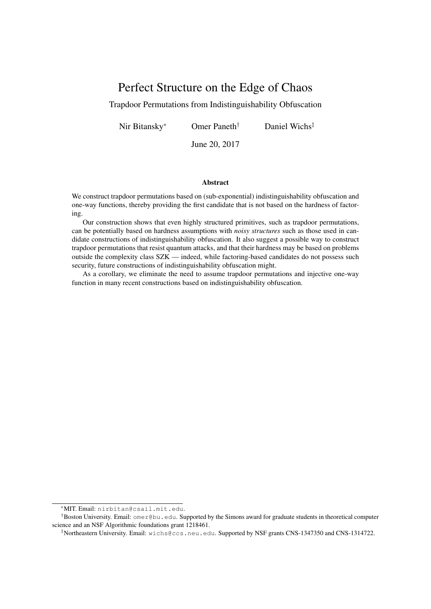# Perfect Structure on the Edge of Chaos

Trapdoor Permutations from Indistinguishability Obfuscation

Nir Bitansky<sup>∗</sup> Omer Paneth<sup>†</sup> Daniel Wichs<sup>‡</sup>

June 20, 2017

#### Abstract

We construct trapdoor permutations based on (sub-exponential) indistinguishability obfuscation and one-way functions, thereby providing the first candidate that is not based on the hardness of factoring.

Our construction shows that even highly structured primitives, such as trapdoor permutations, can be potentially based on hardness assumptions with *noisy structures* such as those used in candidate constructions of indistinguishability obfuscation. It also suggest a possible way to construct trapdoor permutations that resist quantum attacks, and that their hardness may be based on problems outside the complexity class SZK — indeed, while factoring-based candidates do not possess such security, future constructions of indistinguishability obfuscation might.

As a corollary, we eliminate the need to assume trapdoor permutations and injective one-way function in many recent constructions based on indistinguishability obfuscation.

<sup>∗</sup>MIT. Email: nirbitan@csail.mit.edu.

<sup>&</sup>lt;sup>†</sup>Boston University. Email:  $\overline{C}$  ome  $\overline{C}$  bu. edu. Supported by the Simons award for graduate students in theoretical computer science and an NSF Algorithmic foundations grant 1218461.

<sup>‡</sup>Northeastern University. Email: wichs@ccs.neu.edu. Supported by NSF grants CNS-1347350 and CNS-1314722.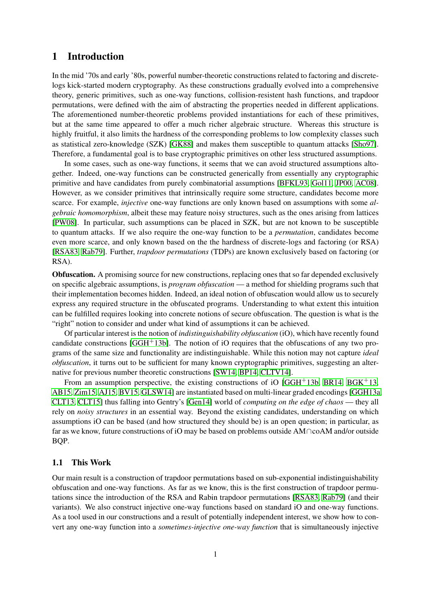# 1 Introduction

In the mid '70s and early '80s, powerful number-theoretic constructions related to factoring and discretelogs kick-started modern cryptography. As these constructions gradually evolved into a comprehensive theory, generic primitives, such as one-way functions, collision-resistent hash functions, and trapdoor permutations, were defined with the aim of abstracting the properties needed in different applications. The aforementioned number-theoretic problems provided instantiations for each of these primitives, but at the same time appeared to offer a much richer algebraic structure. Whereas this structure is highly fruitful, it also limits the hardness of the corresponding problems to low complexity classes such as statistical zero-knowledge (SZK) [\[GK88\]](#page-22-0) and makes them susceptible to quantum attacks [\[Sho97\]](#page-23-0). Therefore, a fundamental goal is to base cryptographic primitives on other less structured assumptions.

In some cases, such as one-way functions, it seems that we can avoid structured assumptions altogether. Indeed, one-way functions can be constructed generically from essentially any cryptographic primitive and have candidates from purely combinatorial assumptions [\[BFKL93,](#page-21-0) [Gol11,](#page-22-1) [JP00,](#page-23-1) [AC08\]](#page-21-1). However, as we consider primitives that intrinsically require some structure, candidates become more scarce. For example, *injective* one-way functions are only known based on assumptions with some *algebraic homomorphism*, albeit these may feature noisy structures, such as the ones arising from lattices [\[PW08\]](#page-23-2). In particular, such assumptions can be placed in SZK, but are not known to be susceptible to quantum attacks. If we also require the one-way function to be a *permutation*, candidates become even more scarce, and only known based on the the hardness of discrete-logs and factoring (or RSA) [\[RSA83,](#page-23-3) [Rab79\]](#page-23-4). Further, *trapdoor permutations* (TDPs) are known exclusively based on factoring (or RSA).

Obfuscation. A promising source for new constructions, replacing ones that so far depended exclusively on specific algebraic assumptions, is *program obfuscation* — a method for shielding programs such that their implementation becomes hidden. Indeed, an ideal notion of obfuscation would allow us to securely express any required structure in the obfuscated programs. Understanding to what extent this intuition can be fulfilled requires looking into concrete notions of secure obfuscation. The question is what is the "right" notion to consider and under what kind of assumptions it can be achieved.

Of particular interest is the notion of *indistinguishability obfuscation* (iO), which have recently found candidate constructions  $[GGH<sup>+</sup>13b]$  $[GGH<sup>+</sup>13b]$ . The notion of iO requires that the obfuscations of any two programs of the same size and functionality are indistinguishable. While this notion may not capture *ideal obfuscation*, it turns out to be sufficient for many known cryptographic primitives, suggesting an alternative for previous number theoretic constructions [\[SW14,](#page-23-5) [BP14,](#page-21-2) [CLTV14\]](#page-22-3).

From an assumption perspective, the existing constructions of iO  $[GGH^+13b, BR14, BGK^+13,$  $[GGH^+13b, BR14, BGK^+13,$  $[GGH^+13b, BR14, BGK^+13,$  $[GGH^+13b, BR14, BGK^+13,$  $[GGH^+13b, BR14, BGK^+13,$ [AB15,](#page-21-5) [Zim15,](#page-23-6) [AJ15,](#page-21-6) [BV15,](#page-21-7) [GLSW14\]](#page-22-4) are instantiated based on multi-linear graded encodings [\[GGH13a,](#page-22-5) [CLT13,](#page-22-6) [CLT15\]](#page-22-7) thus falling into Gentry's [\[Gen14\]](#page-22-8) world of *computing on the edge of chaos* — they all rely on *noisy structures* in an essential way. Beyond the existing candidates, understanding on which assumptions iO can be based (and how structured they should be) is an open question; in particular, as far as we know, future constructions of iO may be based on problems outside AM∩coAM and/or outside BQP.

# 1.1 This Work

Our main result is a construction of trapdoor permutations based on sub-exponential indistinguishability obfuscation and one-way functions. As far as we know, this is the first construction of trapdoor permutations since the introduction of the RSA and Rabin trapdoor permutations [\[RSA83,](#page-23-3) [Rab79\]](#page-23-4) (and their variants). We also construct injective one-way functions based on standard iO and one-way functions. As a tool used in our constructions and a result of potentially independent interest, we show how to convert any one-way function into a *sometimes-injective one-way function* that is simultaneously injective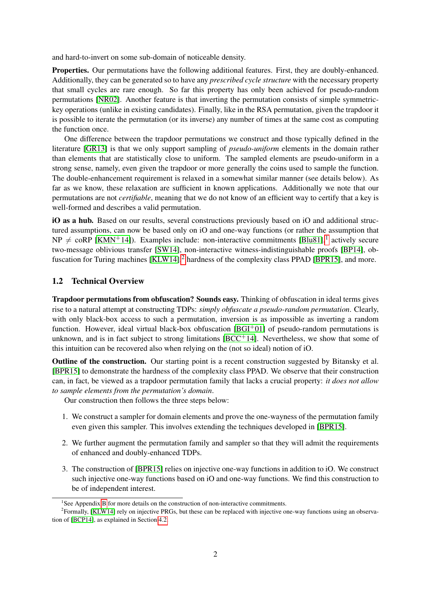and hard-to-invert on some sub-domain of noticeable density.

Properties. Our permutations have the following additional features. First, they are doubly-enhanced. Additionally, they can be generated so to have any *prescribed cycle structure* with the necessary property that small cycles are rare enough. So far this property has only been achieved for pseudo-random permutations [\[NR02\]](#page-23-7). Another feature is that inverting the permutation consists of simple symmetrickey operations (unlike in existing candidates). Finally, like in the RSA permutation, given the trapdoor it is possible to iterate the permutation (or its inverse) any number of times at the same cost as computing the function once.

One difference between the trapdoor permutations we construct and those typically defined in the literature [\[GR13\]](#page-22-9) is that we only support sampling of *pseudo-uniform* elements in the domain rather than elements that are statistically close to uniform. The sampled elements are pseudo-uniform in a strong sense, namely, even given the trapdoor or more generally the coins used to sample the function. The double-enhancement requirement is relaxed in a somewhat similar manner (see details below). As far as we know, these relaxation are sufficient in known applications. Additionally we note that our permutations are not *certifiable*, meaning that we do not know of an efficient way to certify that a key is well-formed and describes a valid permutation.

iO as a hub. Based on our results, several constructions previously based on iO and additional structured assumptions, can now be based only on iO and one-way functions (or rather the assumption that  $NP \neq conP$  [\[KMN](#page-23-8)<sup>+</sup>14]). Examples include: non-interactive commitments [\[Blu81\]](#page-21-8),<sup>[1](#page-2-0)</sup> actively secure two-message oblivious transfer [\[SW14\]](#page-23-5), non-interactive witness-indistinguishable proofs [\[BP14\]](#page-21-2), obfuscation for Turing machines  $\text{[KLW14]}$  $\text{[KLW14]}$  $\text{[KLW14]}$ , and hardness of the complexity class PPAD  $\text{[BPR15]}$  $\text{[BPR15]}$  $\text{[BPR15]}$ , and more.

# 1.2 Technical Overview

Trapdoor permutations from obfuscation? Sounds easy. Thinking of obfuscation in ideal terms gives rise to a natural attempt at constructing TDPs: *simply obfuscate a pseudo-random permutation*. Clearly, with only black-box access to such a permutation, inversion is as impossible as inverting a random function. However, ideal virtual black-box obfuscation  $[BGI^+01]$  $[BGI^+01]$  of pseudo-random permutations is unknown, and is in fact subject to strong limitations  $[BCC^+14]$  $[BCC^+14]$ . Nevertheless, we show that some of this intuition can be recovered also when relying on the (not so ideal) notion of iO.

Outline of the construction. Our starting point is a recent construction suggested by Bitansky et al. [\[BPR15\]](#page-21-9) to demonstrate the hardness of the complexity class PPAD. We observe that their construction can, in fact, be viewed as a trapdoor permutation family that lacks a crucial property: *it does not allow to sample elements from the permutation's domain*.

Our construction then follows the three steps below:

- 1. We construct a sampler for domain elements and prove the one-wayness of the permutation family even given this sampler. This involves extending the techniques developed in [\[BPR15\]](#page-21-9).
- 2. We further augment the permutation family and sampler so that they will admit the requirements of enhanced and doubly-enhanced TDPs.
- 3. The construction of [\[BPR15\]](#page-21-9) relies on injective one-way functions in addition to iO. We construct such injective one-way functions based on iO and one-way functions. We find this construction to be of independent interest.

<span id="page-2-1"></span><span id="page-2-0"></span><sup>&</sup>lt;sup>1</sup>See Appendix [B](#page-25-0) for more details on the construction of non-interactive commitments.

<sup>2</sup> Formally, [\[KLW14\]](#page-23-9) rely on injective PRGs, but these can be replaced with injective one-way functions using an observation of [\[BCP14\]](#page-21-12), as explained in Section [4.2.](#page-16-0)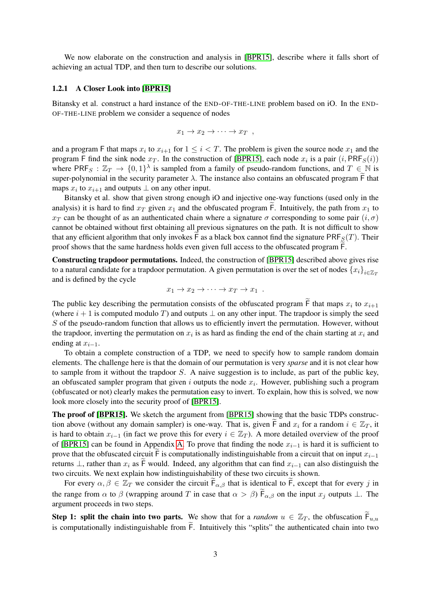We now elaborate on the construction and analysis in [\[BPR15\]](#page-21-9), describe where it falls short of achieving an actual TDP, and then turn to describe our solutions.

#### 1.2.1 A Closer Look into [\[BPR15\]](#page-21-9)

Bitansky et al. construct a hard instance of the END-OF-THE-LINE problem based on iO. In the END-OF-THE-LINE problem we consider a sequence of nodes

$$
x_1 \to x_2 \to \cdots \to x_T ,
$$

and a program F that maps  $x_i$  to  $x_{i+1}$  for  $1 \leq i < T$ . The problem is given the source node  $x_1$  and the program F find the sink node  $x_T$ . In the construction of [\[BPR15\]](#page-21-9), each node  $x_i$  is a pair  $(i, PRF_S(i))$ where PRF<sub>S</sub> :  $\mathbb{Z}_T \to \{0,1\}^{\lambda}$  is sampled from a family of pseudo-random functions, and  $T \in \mathbb{N}$  is super-polynomial in the security parameter  $\lambda$ . The instance also contains an obfuscated program  $\overline{F}$  that maps  $x_i$  to  $x_{i+1}$  and outputs  $\perp$  on any other input.

Bitansky et al. show that given strong enough iO and injective one-way functions (used only in the analysis) it is hard to find  $x_T$  given  $x_1$  and the obfuscated program F. Intuitively, the path from  $x_1$  to  $x_T$  can be thought of as an authenticated chain where a signature  $\sigma$  corresponding to some pair  $(i, \sigma)$ cannot be obtained without first obtaining all previous signatures on the path. It is not difficult to show that any efficient algorithm that only invokes  $\overline{F}$  as a black box cannot find the signature PRF<sub>S</sub>(T). Their proof shows that the same hardness holds even given full access to the obfuscated program  $F$ .

Constructing trapdoor permutations. Indeed, the construction of [\[BPR15\]](#page-21-9) described above gives rise to a natural candidate for a trapdoor permutation. A given permutation is over the set of nodes  ${x_i}_{i \in \mathbb{Z}_T}$ and is defined by the cycle

$$
x_1 \to x_2 \to \cdots \to x_T \to x_1 \ .
$$

The public key describing the permutation consists of the obfuscated program F that maps  $x_i$  to  $x_{i+1}$ (where  $i + 1$  is computed modulo T) and outputs  $\perp$  on any other input. The trapdoor is simply the seed S of the pseudo-random function that allows us to efficiently invert the permutation. However, without the trapdoor, inverting the permutation on  $x_i$  is as hard as finding the end of the chain starting at  $x_i$  and ending at  $x_{i-1}$ .

To obtain a complete construction of a TDP, we need to specify how to sample random domain elements. The challenge here is that the domain of our permutation is very *sparse* and it is not clear how to sample from it without the trapdoor  $S$ . A naive suggestion is to include, as part of the public key, an obfuscated sampler program that given i outputs the node  $x_i$ . However, publishing such a program (obfuscated or not) clearly makes the permutation easy to invert. To explain, how this is solved, we now look more closely into the security proof of [\[BPR15\]](#page-21-9).

The proof of [\[BPR15\]](#page-21-9). We sketch the argument from [BPR15] showing that the basic TDPs construction above (without any domain sampler) is one-way. That is, given  $\tilde{F}$  and  $x_i$  for a random  $i \in \mathbb{Z}_T$ , it is hard to obtain  $x_{i-1}$  (in fact we prove this for every  $i \in \mathbb{Z}_T$ ). A more detailed overview of the proof of [\[BPR15\]](#page-21-9) can be found in Appendix [A.](#page-23-10) To prove that finding the node  $x_{i-1}$  is hard it is sufficient to prove that the obfuscated circuit F is computationally indistinguishable from a circuit that on input  $x_{i-1}$ returns ⊥, rather than  $x_i$  as F would. Indeed, any algorithm that can find  $x_{i-1}$  can also distinguish the two circuits. We next explain how indistinguishability of these two circuits is shown.

For every  $\alpha, \beta \in \mathbb{Z}_T$  we consider the circuit  $\widetilde{F}_{\alpha,\beta}$  that is identical to  $\widetilde{F}$ , except that for every j in the range from  $\alpha$  to  $\beta$  (wrapping around T in case that  $\alpha > \beta$ )  $F_{\alpha,\beta}$  on the input  $x_j$  outputs  $\perp$ . The argument proceeds in two steps.

Step 1: split the chain into two parts. We show that for a *random*  $u \in \mathbb{Z}_T$ , the obfuscation  $\overline{F}_{u,u}$ is computationally indistinguishable from  $\tilde{F}$ . Intuitively this "splits" the authenticated chain into two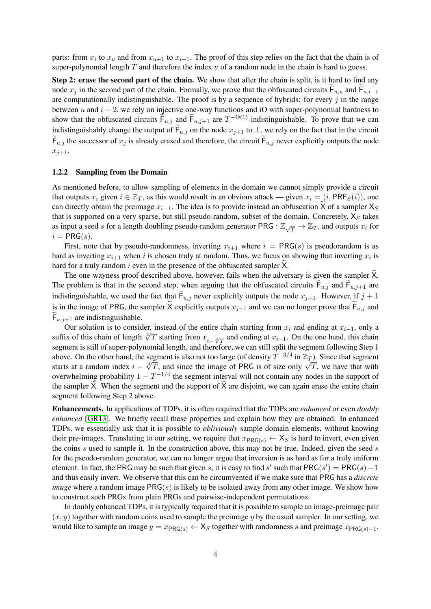parts: from  $x_i$  to  $x_u$  and from  $x_{u+1}$  to  $x_{i-1}$ . The proof of this step relies on the fact that the chain is of super-polynomial length  $T$  and therefore the index  $u$  of a random node in the chain is hard to guess.

Step 2: erase the second part of the chain. We show that after the chain is split, is it hard to find any node  $x_j$  in the second part of the chain. Formally, we prove that the obfuscated circuits  $F_{u,u}$  and  $F_{u,i-1}$ are computationally indistinguishable. The proof is by a sequence of hybrids: for every  $j$  in the range between u and  $i - 2$ , we rely on injective one-way functions and iO with super-polynomial hardness to show that the obfuscated circuits  $\widetilde{F}_{u,j}$  and  $\widetilde{F}_{u,j+1}$  are  $T^{-\Theta(1)}$ -indistinguishable. To prove that we can indistinguishably change the output of  $\mathbf{F}_{u,j}$  on the node  $x_{j+1}$  to  $\perp$ , we rely on the fact that in the circuit  $\mathbf{F}_{u,j}$  the successor of  $x_j$  is already erased and therefore, the circuit  $\mathbf{F}_{u,j}$  never explicitly outputs the node  $x_{j+1}$ .

#### 1.2.2 Sampling from the Domain

As mentioned before, to allow sampling of elements in the domain we cannot simply provide a circuit that outputs  $x_i$  given  $i \in \mathbb{Z}_T$ , as this would result in an obvious attack — given  $x_i = (i, \text{PRF}_S(i))$ , one can directly obtain the preimage  $x_{i-1}$ . The idea is to provide instead an obfuscation X of a sampler  $X_S$ that is supported on a very sparse, but still pseudo-random, subset of the domain. Concretely,  $X_S$  takes as input a seed s for a length doubling pseudo-random generator PRG :  $\mathbb{Z}_{\sqrt{T}} \to \mathbb{Z}_T$ , and outputs  $x_i$  for  $i = PRG(s)$ .

First, note that by pseudo-randomness, inverting  $x_{i+1}$  where  $i = PRG(s)$  is pseudorandom is as hard as inverting  $x_{i+1}$  when i is chosen truly at random. Thus, we fucus on showing that inverting  $x_i$  is hard for a truly random  $i$  even in the presence of the obfuscated sampler  $X$ .

The one-wayness proof described above, however, fails when the adversary is given the sampler  $X$ . The problem is that in the second step, when arguing that the obfuscated circuits  $F_{u,j}$  and  $F_{u,j+1}$  are indistinguishable, we used the fact that  $\widetilde{F}_{u,j}$  never explicitly outputs the node  $x_{j+1}$ . However, if  $j+1$ is in the image of PRG, the sampler X explicitly outputs  $x_{j+1}$  and we can no longer prove that  $F_{u,j}$  and  $F_{u,j+1}$  are indistinguishable.

Our solution is to consider, instead of the entire chain starting from  $x_i$  and ending at  $x_{i-1}$ , only a Our solution is to consider, instead of the entire chain starting from  $x_i$  and ending at  $x_{i-1}$ , only a suffix of this chain of length  $\sqrt[4]{T}$  starting from  $x_{i-1}$  and ending at  $x_{i-1}$ . On the one hand, this chai segment is still of super-polynomial length, and therefore, we can still split the segment following Step 1 above. On the other hand, the segment is also not too large (of density  $T^{-3/4}$  in  $\mathbb{Z}_T$ ). Since that segment above. On the other hand, the segment is also not too large (of density  $T \rightarrow T \ln \mathbb{Z}T$ ). Since that segment starts at a random index  $i - \sqrt[4]{T}$ , and since the image of PRG is of size only  $\sqrt{T}$ , we have that with overwhelming probability  $1 - T^{-1/4}$  the segment interval will not contain any nodes in the support of the sampler  $X$ . When the segment and the support of  $X$  are disjoint, we can again erase the entire chain segment following Step 2 above.

Enhancements. In applications of TDPs, it is often required that the TDPs are *enhanced* or even *doubly enhanced* [\[GR13\]](#page-22-9). We briefly recall these properties and explain how they are obtained. In enhanced TDPs, we essentially ask that it is possible to *obliviously* sample domain elements, without knowing their pre-images. Translating to our setting, we require that  $x_{PRG(s)} \leftarrow X_S$  is hard to invert, even given the coins s used to sample it. In the construction above, this may not be true. Indeed, given the seed s for the pseudo-random generator, we can no longer argue that inversion is as hard as for a truly uniform element. In fact, the PRG may be such that given s, it is easy to find s' such that  $PRG(s') = PRG(s) - 1$ and thus easily invert. We observe that this can be circumvented if we make sure that PRG has a *discrete image* where a random image PRG(s) is likely to be isolated away from any other image. We show how to construct such PRGs from plain PRGs and pairwise-independent permutations.

In doubly enhanced TDPs, it is typically required that it is possible to sample an image-preimage pair  $(x, y)$  together with random coins used to sample the preimage y by the usual sampler. In our setting, we would like to sample an image  $y = x_{PRG(s)} \leftarrow X_S$  together with randomness s and preimage  $x_{PRG(s)-1}$ .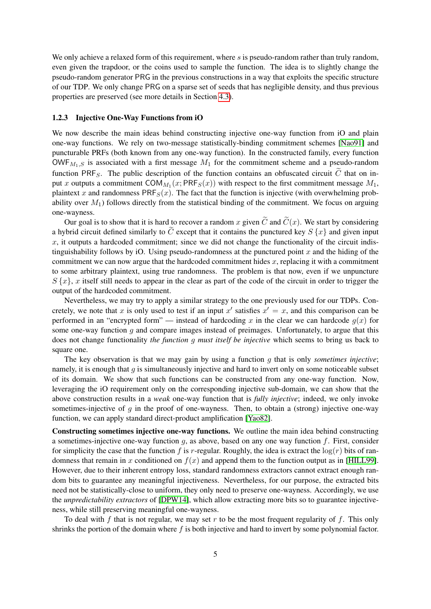We only achieve a relaxed form of this requirement, where  $s$  is pseudo-random rather than truly random, even given the trapdoor, or the coins used to sample the function. The idea is to slightly change the pseudo-random generator PRG in the previous constructions in a way that exploits the specific structure of our TDP. We only change PRG on a sparse set of seeds that has negligible density, and thus previous properties are preserved (see more details in Section [4.3\)](#page-18-0).

#### 1.2.3 Injective One-Way Functions from iO

We now describe the main ideas behind constructing injective one-way function from iO and plain one-way functions. We rely on two-message statistically-binding commitment schemes [\[Nao91\]](#page-23-11) and puncturable PRFs (both known from any one-way function). In the constructed family, every function OWF<sub>M1</sub>,S is associated with a first message  $M_1$  for the commitment scheme and a pseudo-random function PRF<sub>S</sub>. The public description of the function contains an obfuscated circuit  $\tilde{C}$  that on input x outputs a commitment COM $_{M_1}(x; PRF_S(x))$  with respect to the first commitment message  $M_1$ , plaintext x and randomness  $PRF_S(x)$ . The fact that the function is injective (with overwhelming probability over  $M_1$ ) follows directly from the statistical binding of the commitment. We focus on arguing one-wayness.

Our goal is to show that it is hard to recover a random x given  $\tilde{C}$  and  $\tilde{C}(x)$ . We start by considering a hybrid circuit defined similarly to  $\tilde{C}$  except that it contains the punctured key  $S\{x\}$  and given input  $x$ , it outputs a hardcoded commitment; since we did not change the functionality of the circuit indistinguishability follows by iO. Using pseudo-randomness at the punctured point  $x$  and the hiding of the commitment we can now argue that the hardcoded commitment hides  $x$ , replacing it with a commitment to some arbitrary plaintext, using true randomness. The problem is that now, even if we unpuncture  $S\{x\}$ , x itself still needs to appear in the clear as part of the code of the circuit in order to trigger the output of the hardcoded commitment.

Nevertheless, we may try to apply a similar strategy to the one previously used for our TDPs. Concretely, we note that x is only used to test if an input x' satisfies  $x' = x$ , and this comparison can be performed in an "encrypted form" — instead of hardcoding x in the clear we can hardcode  $g(x)$  for some one-way function  $q$  and compare images instead of preimages. Unfortunately, to argue that this does not change functionality *the function* g *must itself be injective* which seems to bring us back to square one.

The key observation is that we may gain by using a function g that is only *sometimes injective*; namely, it is enough that  $g$  is simultaneously injective and hard to invert only on some noticeable subset of its domain. We show that such functions can be constructed from any one-way function. Now, leveraging the iO requirement only on the corresponding injective sub-domain, we can show that the above construction results in a *weak* one-way function that is *fully injective*; indeed, we only invoke sometimes-injective of  $q$  in the proof of one-wayness. Then, to obtain a (strong) injective one-way function, we can apply standard direct-product amplification [\[Yao82\]](#page-23-12).

Constructing sometimes injective one-way functions. We outline the main idea behind constructing a sometimes-injective one-way function  $q$ , as above, based on any one way function  $f$ . First, consider for simplicity the case that the function f is r-regular. Roughly, the idea is extract the  $log(r)$  bits of randomness that remain in x conditioned on  $f(x)$  and append them to the function output as in [\[HILL99\]](#page-22-10). However, due to their inherent entropy loss, standard randomness extractors cannot extract enough random bits to guarantee any meaningful injectiveness. Nevertheless, for our purpose, the extracted bits need not be statistically-close to uniform, they only need to preserve one-wayness. Accordingly, we use the *unpredictability extractors* of [\[DPW14\]](#page-22-11), which allow extracting more bits so to guarantee injectiveness, while still preserving meaningful one-wayness.

To deal with f that is not regular, we may set r to be the most frequent regularity of f. This only shrinks the portion of the domain where  $f$  is both injective and hard to invert by some polynomial factor.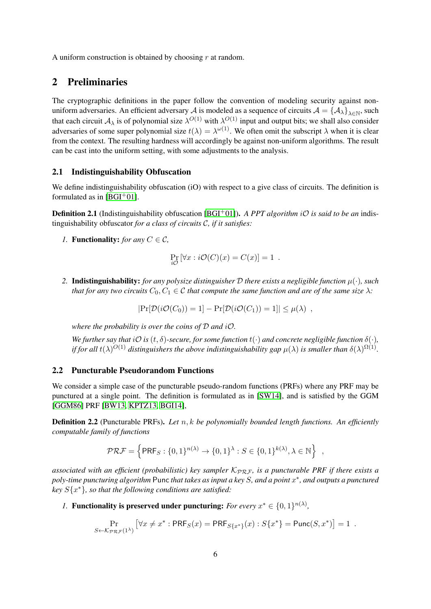A uniform construction is obtained by choosing  $r$  at random.

# 2 Preliminaries

The cryptographic definitions in the paper follow the convention of modeling security against nonuniform adversaries. An efficient adversary  $A$  is modeled as a sequence of circuits  $A = \{A_\lambda\}_{\lambda \in \mathbb{N}}$ , such that each circuit  $A_\lambda$  is of polynomial size  $\lambda^{O(1)}$  with  $\lambda^{O(1)}$  input and output bits; we shall also consider adversaries of some super polynomial size  $t(\lambda) = \lambda^{\omega(1)}$ . We often omit the subscript  $\lambda$  when it is clear from the context. The resulting hardness will accordingly be against non-uniform algorithms. The result can be cast into the uniform setting, with some adjustments to the analysis.

### 2.1 Indistinguishability Obfuscation

We define indistinguishability obfuscation (iO) with respect to a give class of circuits. The definition is formulated as in  $[BGI^+01]$  $[BGI^+01]$ .

**Definition 2.1** (Indistinguishability obfuscation [\[BGI](#page-21-10)<sup>+</sup>01]). *A PPT algorithm* iO is said to be an indistinguishability obfuscator *for a class of circuits* C*, if it satisfies:*

*1.* Functionality: *for any*  $C \in \mathcal{C}$ *,* 

$$
\Pr_{i\mathcal{O}}\left[\forall x: i\mathcal{O}(C)(x) = C(x)\right] = 1.
$$

2. **Indistinguishability:** *for any polysize distinguisher*  $D$  *there exists a negligible function*  $\mu(\cdot)$ *, such that for any two circuits*  $C_0, C_1 \in \mathcal{C}$  *that compute the same function and are of the same size*  $\lambda$ *:* 

 $|\Pr[\mathcal{D}(i\mathcal{O}(C_0)) = 1] - \Pr[\mathcal{D}(i\mathcal{O}(C_1)) = 1]| \leq \mu(\lambda)$ ,

*where the probability is over the coins of* D *and* iO*.*

*We further say that*  $iO$  *is*  $(t, \delta)$ -secure, for some function  $t(\cdot)$  and concrete negligible function  $\delta(\cdot)$ *, if for all*  $t(\lambda)^{O(1)}$  distinguishers the above indistinguishability gap  $\mu(\lambda)$  is smaller than  $\delta(\lambda)^{\Omega(1)}$ .

# 2.2 Puncturable Pseudorandom Functions

We consider a simple case of the puncturable pseudo-random functions (PRFs) where any PRF may be punctured at a single point. The definition is formulated as in [\[SW14\]](#page-23-5), and is satisfied by the GGM [\[GGM86\]](#page-22-12) PRF [\[BW13,](#page-22-13) [KPTZ13,](#page-23-13) [BGI14\]](#page-21-13),

Definition 2.2 (Puncturable PRFs). *Let* n, k *be polynomially bounded length functions. An efficiently computable family of functions*

$$
\mathcal{PRF} = \left\{ \mathsf{PRF}_S : \{0,1\}^{n(\lambda)} \to \{0,1\}^\lambda : S \in \{0,1\}^{k(\lambda)}, \lambda \in \mathbb{N} \right\} ,
$$

*associated with an efficient (probabilistic) key sampler*  $K_{\mathcal{P}R,F}$ , is a puncturable PRF if there exists a *poly-time puncturing algorithm* Punc *that takes as input a key* S*, and a point* x ∗ *, and outputs a punctured key* S{x <sup>∗</sup>}*, so that the following conditions are satisfied:*

*1.* Functionality is preserved under puncturing: *For every*  $x^* \in \{0,1\}^{n(\lambda)}$ ,

$$
\Pr_{S \leftarrow \mathcal{K}_{\mathcal{PRF}}(1^{\lambda})} \left[ \forall x \neq x^* : \mathsf{PRF}_S(x) = \mathsf{PRF}_{S\{x^*\}}(x) : S\{x^*\} = \mathsf{Punc}(S, x^*) \right] = 1.
$$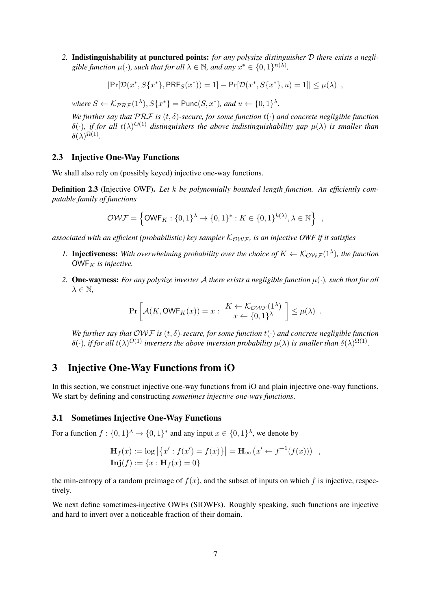*2.* Indistinguishability at punctured points: *for any polysize distinguisher* D *there exists a negligible function*  $\mu(\cdot)$ *, such that for all*  $\lambda \in \mathbb{N}$ *, and any*  $x^* \in \{0,1\}^{n(\lambda)}$ *,* 

 $|\Pr[\mathcal{D}(x^*, S\{x^*\}, \mathsf{PRF}_S(x^*)) = 1] - \Pr[\mathcal{D}(x^*, S\{x^*\}, u) = 1]| \leq \mu(\lambda)$ ,

where  $S \leftarrow \mathcal{K}_{\mathcal{PRF}}(1^{\lambda}), S\{x^*\} = \mathsf{Punc}(S, x^*),$  and  $u \leftarrow \{0, 1\}^{\lambda}$ .

*We further say that*  $PRF$  *is*  $(t, \delta)$ -secure, for some function  $t(\cdot)$  and concrete negligible function δ(·), if for all  $t(λ)^{O(1)}$  distinguishers the above indistinguishability gap  $μ(λ)$  is smaller than  $\delta(\lambda)^{\Omega(1)}.$ 

# 2.3 Injective One-Way Functions

We shall also rely on (possibly keyed) injective one-way functions.

Definition 2.3 (Injective OWF). *Let* k *be polynomially bounded length function. An efficiently computable family of functions*

$$
\mathcal{OWF} = \left\{ \mathsf{OWF}_K : \{0,1\}^\lambda \to \{0,1\}^* : K \in \{0,1\}^{k(\lambda)}, \lambda \in \mathbb{N} \right\} ,
$$

*associated with an efficient (probabilistic) key sampler*  $K_{\mathcal{O}W\mathcal{F}}$ *, is an injective OWF if it satisfies* 

- *1.* Injectiveness: With overwhelming probability over the choice of  $K \leftarrow \mathcal{K}_{\mathcal{OWF}}(1^{\lambda})$ , the function OWF $_K$  is injective.
- 2. **One-wayness:** *For any polysize inverter* A *there exists a negligible function*  $\mu(\cdot)$ *, such that for all*  $\lambda \in \mathbb{N}$ ,

$$
\Pr\left[\mathcal{A}(K, \mathsf{OWF}_K(x)) = x : \begin{array}{c} K \leftarrow \mathcal{K}_{\mathcal{OWF}}(1^{\lambda}) \\ x \leftarrow \{0,1\}^{\lambda} \end{array}\right] \leq \mu(\lambda) .
$$

*We further say that*  $\mathcal{OWF}$  *is*  $(t, \delta)$ -secure, for some function  $t(\cdot)$  and concrete negligible function  $\delta(\cdot)$ , if for all  $t(\lambda)^{O(1)}$  inverters the above inversion probability  $\mu(\lambda)$  is smaller than  $\delta(\lambda)^{\Omega(1)}$ .

# 3 Injective One-Way Functions from iO

In this section, we construct injective one-way functions from iO and plain injective one-way functions. We start by defining and constructing *sometimes injective one-way functions*.

### 3.1 Sometimes Injective One-Way Functions

For a function  $f: \{0,1\}^{\lambda} \to \{0,1\}^*$  and any input  $x \in \{0,1\}^{\lambda}$ , we denote by

$$
\mathbf{H}_f(x) := \log |\{x' : f(x') = f(x)\}| = \mathbf{H}_{\infty} (x' \leftarrow f^{-1}(f(x))) ,
$$
  
\n
$$
\mathbf{Inj}(f) := \{x : \mathbf{H}_f(x) = 0\}
$$

the min-entropy of a random preimage of  $f(x)$ , and the subset of inputs on which f is injective, respectively.

We next define sometimes-injective OWFs (SIOWFs). Roughly speaking, such functions are injective and hard to invert over a noticeable fraction of their domain.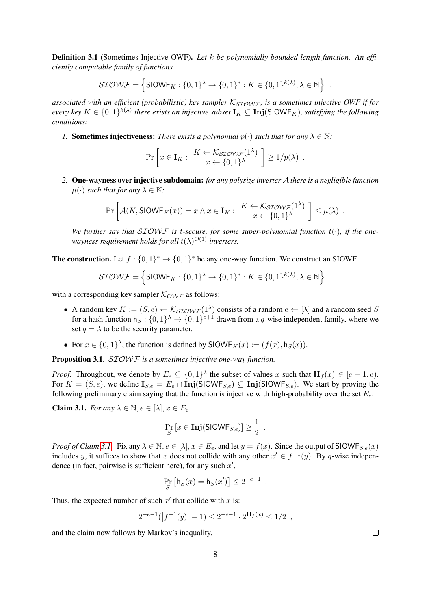<span id="page-8-1"></span>Definition 3.1 (Sometimes-Injective OWF). *Let* k *be polynomially bounded length function. An efficiently computable family of functions*

$$
\mathcal{SIOWF} = \left\{ \mathsf{SIOWF}_K : \{0,1\}^\lambda \to \{0,1\}^* : K \in \{0,1\}^{k(\lambda)}, \lambda \in \mathbb{N} \right\} ,
$$

*associated with an efficient (probabilistic) key sampler*  $K_{SLOWF}$ *, is a sometimes injective OWF if for every key*  $K \in \{0,1\}^{k(\lambda)}$  there exists an injective subset  $\mathbf{I}_K \subseteq \text{Inj}(\textsf{SIOWF}_K)$ , satisfying the following *conditions:*

*1.* Sometimes injectiveness: *There exists a polynomial*  $p(\cdot)$  *such that for any*  $\lambda \in \mathbb{N}$ :

$$
\Pr\left[x \in \mathbf{I}_K: \begin{array}{c} K \leftarrow \mathcal{K}_{\mathcal{S} \mathcal{I} \mathcal{O} \mathcal{W} \mathcal{F}}(1^{\lambda}) \\ x \leftarrow \{0,1\}^{\lambda} \end{array}\right] \ge 1/p(\lambda) \enspace .
$$

*2.* One-wayness over injective subdomain: *for any polysize inverter* A *there is a negligible function*  $\mu(\cdot)$  *such that for any*  $\lambda \in \mathbb{N}$ *:* 

$$
\Pr\left[\mathcal{A}(K, \mathsf{SIOWF}_K(x)) = x \land x \in \mathbf{I}_K: \begin{array}{c} K \leftarrow \mathcal{K}_{\mathcal{SIOWF}}(1^{\lambda}) \\ x \leftarrow \{0, 1\}^{\lambda} \end{array}\right] \leq \mu(\lambda) \enspace .
$$

*We further say that* SIOWF *is* t*-secure, for some super-polynomial function* t(·)*, if the one*wayness requirement holds for all  $t(\lambda)^{O(1)}$  inverters.

**The construction.** Let  $f : \{0,1\}^* \to \{0,1\}^*$  be any one-way function. We construct an SIOWF

$$
\mathcal{SIOWF} = \left\{ \mathsf{SIOWF}_K : \{0,1\}^\lambda \to \{0,1\}^* : K \in \{0,1\}^{k(\lambda)}, \lambda \in \mathbb{N} \right\}
$$

with a corresponding key sampler  $\mathcal{K}_{\mathcal{OWF}}$  as follows:

- A random key  $K := (S, e) \leftarrow \mathcal{K}_{\mathcal{S} \mathcal{I} \mathcal{O} \mathcal{W} \mathcal{F}}(1^{\lambda})$  consists of a random  $e \leftarrow [\lambda]$  and a random seed S for a hash function  $h_S: \{0,1\}^{\lambda} \to \{0,1\}^{e+1}$  drawn from a q-wise independent family, where we set  $q = \lambda$  to be the security parameter.
- For  $x \in \{0,1\}^{\lambda}$ , the function is defined by SIOWF $_K(x) := (f(x), h_S(x))$ .

<span id="page-8-2"></span>Proposition 3.1. SIOWF *is a sometimes injective one-way function.*

*Proof.* Throughout, we denote by  $E_e \subseteq \{0,1\}^{\lambda}$  the subset of values x such that  $\mathbf{H}_f(x) \in [e-1, e)$ . For  $K = (S, e)$ , we define  $I_{S, e} = E_e \cap Inj(SIOWF_{S, e}) \subseteq Inj(SIOWF_{S, e})$ . We start by proving the following preliminary claim saying that the function is injective with high-probability over the set  $E_e$ .

<span id="page-8-0"></span>**Claim 3.1.** *For any*  $\lambda \in \mathbb{N}, e \in [\lambda], x \in E_e$ 

$$
\Pr_{S}[x \in \mathbf{Inj}(\mathsf{SIOWF}_{S,e})] \ge \frac{1}{2} .
$$

*Proof of Claim* [3.1.](#page-8-0) Fix any  $\lambda \in \mathbb{N}$ ,  $e \in [\lambda]$ ,  $x \in E_e$ , and let  $y = f(x)$ . Since the output of SIOWF<sub>S,e</sub>(x) includes y, it suffices to show that x does not collide with any other  $x' \in f^{-1}(y)$ . By q-wise independence (in fact, pairwise is sufficient here), for any such  $x'$ ,

$$
\Pr_S\left[\mathsf{h}_S(x)=\mathsf{h}_S(x')\right]\leq 2^{-e-1}
$$

.

Thus, the expected number of such  $x'$  that collide with  $x$  is:

$$
2^{-e-1}(|f^{-1}(y)|-1) \le 2^{-e-1} \cdot 2^{\mathbf{H}_f(x)} \le 1/2 ,
$$

and the claim now follows by Markov's inequality.

 $\Box$ 

,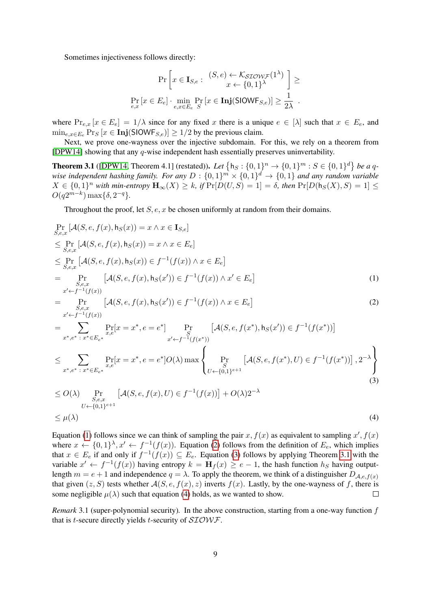Sometimes injectiveness follows directly:

<span id="page-9-0"></span>
$$
\Pr\left[x \in \mathbf{I}_{S,e} : \begin{array}{c} (S,e) \leftarrow \mathcal{K}_{\mathcal{STOWF}}(1^{\lambda}) \\ x \leftarrow \{0,1\}^{\lambda} \end{array}\right] \ge
$$
  

$$
\Pr_{e,x} [x \in E_e] \cdot \min_{e,x \in E_e} \Pr_{S} [x \in \mathbf{Inj}(\mathsf{SIOWF}_{S,e})] \ge \frac{1}{2\lambda} .
$$

where  $\Pr_{e,x}[x \in E_e] = 1/\lambda$  since for any fixed x there is a unique  $e \in [\lambda]$  such that  $x \in E_e$ , and  $\min_{e,x \in E_e} \Pr_S [x \in Inj(SIOWF_{S,e})] \geq 1/2$  by the previous claim.

Next, we prove one-wayness over the injective subdomain. For this, we rely on a theorem from [\[DPW14\]](#page-22-11) showing that any q-wise independent hash essentially preserves uninvertability.

<span id="page-9-3"></span>**Theorem 3.1** ([\[DPW14,](#page-22-11) Theorem 4.1] (restated)). Let  $\{h_S: \{0,1\}^n \to \{0,1\}^m : S \in \{0,1\}^d\}$  be a qwise independent hashing family. For any  $D: \{0,1\}^m \times \{0,1\}^d \rightarrow \{0,1\}$  and any random variable  $X \in \{0,1\}^n$  with min-entropy  $\mathbf{H}_{\infty}(X) \geq k$ , if  $\Pr[D(U, S) = 1] = \delta$ , then  $\Pr[D(\mathsf{h}_S(X), S) = 1] \leq$  $O(q2^{m-k}) \max{\{\delta, 2^{-q}\}}.$ 

<span id="page-9-1"></span>Throughout the proof, let  $S, e, x$  be chosen uniformly at random from their domains.

$$
\Pr_{S,e,x}[A(S, e, f(x), h_S(x)) = x \land x \in I_{S,e}]
$$
\n
$$
\leq \Pr_{S,e,x}[A(S, e, f(x), h_S(x)) = x \land x \in E_e]
$$
\n
$$
\leq \Pr_{S,e,x}[A(S, e, f(x), h_S(x)) \in f^{-1}(f(x)) \land x \in E_e]
$$
\n
$$
= \Pr_{S,e,x}[A(S, e, f(x), h_S(x')) \in f^{-1}(f(x)) \land x' \in E_e]
$$
\n
$$
= \Pr_{S,e,x}[A(S, e, f(x), h_S(x')) \in f^{-1}(f(x)) \land x \in E_e]
$$
\n
$$
= \Pr_{S,e,x}[A(S, e, f(x), h_S(x')) \in f^{-1}(f(x)) \land x \in E_e]
$$
\n
$$
= \sum_{x^* \leftarrow f^{-1}(f(x))} \Pr_{x^* \in E_e^*} [x = x^*, e = e^*] \Pr_{x^* \leftarrow f^{-1}(f(x^*))}
$$
\n
$$
\leq \sum_{x^*, e^* : x^* \in E_{e^*}} \Pr_{x, e} [x = x^*, e = e^*] O(\lambda) \max \left\{ \Pr_{U \leftarrow \{0,1\}^{e+1}} [A(S, e, f(x^*), U) \in f^{-1}(f(x^*))], 2^{-\lambda} \right\}
$$
\n
$$
\leq O(\lambda) \Pr_{S,e,x}[A(S, e, f(x), U) \in f^{-1}(f(x))] + O(\lambda)2^{-\lambda}
$$
\n
$$
U \leftarrow \{0,1\}^{e+1}
$$
\n(3)

<span id="page-9-4"></span><span id="page-9-2"></span>
$$
\leq \mu(\lambda) \tag{4}
$$

Equation [\(1\)](#page-9-0) follows since we can think of sampling the pair  $x, f(x)$  as equivalent to sampling  $x', f(x)$ where  $x \leftarrow \{0,1\}^{\lambda}, x' \leftarrow f^{-1}(f(x))$ . Equation [\(2\)](#page-9-1) follows from the definition of  $E_e$ , which implies that  $x \in E_e$  if and only if  $f^{-1}(f(x)) \subseteq E_e$ . Equation [\(3\)](#page-9-2) follows by applying Theorem [3.1](#page-9-3) with the variable  $x' \leftarrow f^{-1}(f(x))$  having entropy  $k = H_f(x) \ge e - 1$ , the hash function  $h_s$  having outputlength  $m = e + 1$  and independence  $q = \lambda$ . To apply the theorem, we think of a distinguisher  $D_{A,e,f(x)}$ that given  $(z, S)$  tests whether  $\mathcal{A}(S, e, f(x), z)$  inverts  $f(x)$ . Lastly, by the one-wayness of f, there is some negligible  $\mu(\lambda)$  such that equation [\(4\)](#page-9-4) holds, as we wanted to show.  $\Box$ 

*Remark* 3.1 (super-polynomial security)*.* In the above construction, starting from a one-way function f that is t-secure directly yields t-security of  $\mathcal{SIOWF}$ .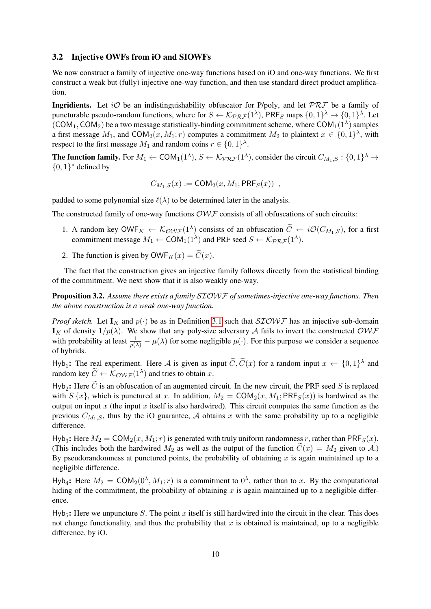### 3.2 Injective OWFs from iO and SIOWFs

We now construct a family of injective one-way functions based on iO and one-way functions. We first construct a weak but (fully) injective one-way function, and then use standard direct product amplification.

**Ingridients.** Let iO be an indistinguishability obfuscator for P/poly, and let  $\mathcal{PRF}$  be a family of puncturable pseudo-random functions, where for  $S \leftarrow \mathcal{K}_{PRF}(1^{\lambda})$ , PRF<sub>S</sub> maps  $\{0,1\}^{\lambda} \to \{0,1\}^{\lambda}$ . Let (COM<sub>1</sub>, COM<sub>2</sub>) be a two message statistically-binding commitment scheme, where COM<sub>1</sub>(1<sup> $\lambda$ </sup>) samples a first message  $M_1$ , and  $COM_2(x, M_1; r)$  computes a commitment  $M_2$  to plaintext  $x \in \{0, 1\}^{\lambda}$ , with respect to the first message  $M_1$  and random coins  $r \in \{0, 1\}^{\lambda}$ .

The function family. For  $M_1 \leftarrow \text{COM}_1(1^{\lambda}), S \leftarrow \mathcal{K}_{\mathcal{PRF}}(1^{\lambda}),$  consider the circuit  $C_{M_1,S}: \{0,1\}^{\lambda} \rightarrow$  $\{0, 1\}^*$  defined by

$$
C_{M_1,S}(x) := \text{COM}_2(x, M_1; \text{PRF}_S(x)) ,
$$

padded to some polynomial size  $\ell(\lambda)$  to be determined later in the analysis.

The constructed family of one-way functions  $\mathcal{OWF}$  consists of all obfuscations of such circuits:

- 1. A random key OWF<sub>K</sub>  $\leftarrow$   $\mathcal{K}_{\mathcal{O}W\mathcal{F}}(1^{\lambda})$  consists of an obfuscation  $\widetilde{C} \leftarrow i\mathcal{O}(C_{M_1,S})$ , for a first commitment message  $M_1 \leftarrow \text{COM}_1(1^{\lambda})$  and PRF seed  $S \leftarrow \mathcal{K}_{\mathcal{PRF}}(1^{\lambda})$ .
- 2. The function is given by OWF<sub>K</sub>(x) =  $\widetilde{C}(x)$ .

The fact that the construction gives an injective family follows directly from the statistical binding of the commitment. We next show that it is also weakly one-way.

Proposition 3.2. *Assume there exists a family* SIOWF *of sometimes-injective one-way functions. Then the above construction is a weak one-way function.*

*Proof sketch.* Let  $I_K$  and  $p(.)$  be as in Definition [3.1](#page-8-1) such that  $STOWF$  has an injective sub-domain  $I_K$  of density  $1/p(\lambda)$ . We show that any poly-size adversary A fails to invert the constructed OWF with probability at least  $\frac{1}{p(\lambda)} - \mu(\lambda)$  for some negligible  $\mu(\cdot)$ . For this purpose we consider a sequence of hybrids.

Hyb<sub>1</sub>: The real experiment. Here A is given as input  $\tilde{C}$ ,  $\tilde{C}(x)$  for a random input  $x \leftarrow \{0,1\}^{\lambda}$  and random key  $\widetilde{C} \leftarrow \mathcal{K}_{\mathcal{O}\mathcal{W}\mathcal{F}}(1^{\lambda})$  and tries to obtain x.

 $Hyb_2$ : Here C is an obfuscation of an augmented circuit. In the new circuit, the PRF seed S is replaced with  $S\{x\}$ , which is punctured at x. In addition,  $M_2 = \text{COM}_2(x, M_1; \text{PRF}_S(x))$  is hardwired as the output on input  $x$  (the input  $x$  itself is also hardwired). This circuit computes the same function as the previous  $C_{M_1,S}$ , thus by the iO guarantee, A obtains x with the same probability up to a negligible difference.

Hyb<sub>3</sub>: Here  $M_2 = \text{COM}_2(x, M_1; r)$  is generated with truly uniform randomness r, rather than PRF<sub>S</sub>(x). (This includes both the hardwired  $M_2$  as well as the output of the function  $C(x) = M_2$  given to A.) By pseudorandomness at punctured points, the probability of obtaining  $x$  is again maintained up to a negligible difference.

Hyb<sub>4</sub>: Here  $M_2 = \text{COM}_2(0^{\lambda}, M_1; r)$  is a commitment to  $0^{\lambda}$ , rather than to x. By the computational hiding of the commitment, the probability of obtaining x is again maintained up to a negligible difference.

Hyb<sub>5</sub>: Here we unpuncture S. The point x itself is still hardwired into the circuit in the clear. This does not change functionality, and thus the probability that x is obtained is maintained, up to a negligible difference, by iO.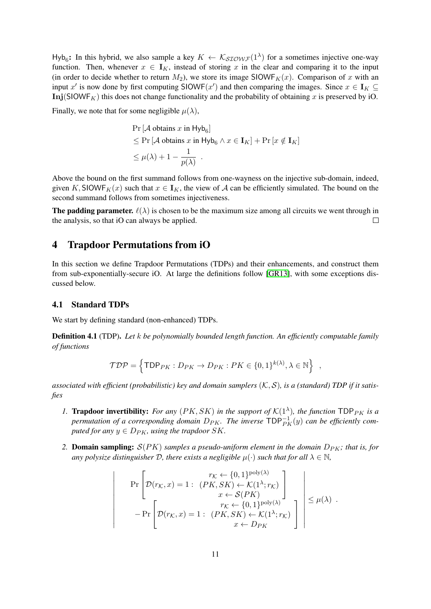Hyb<sub>6</sub>: In this hybrid, we also sample a key  $K \leftarrow \mathcal{K}_{STOWF}(1^{\lambda})$  for a sometimes injective one-way function. Then, whenever  $x \in I_K$ , instead of storing x in the clear and comparing it to the input (in order to decide whether to return  $M_2$ ), we store its image SIOWF<sub>K</sub>(x). Comparison of x with an input x' is now done by first computing SIOWF(x') and then comparing the images. Since  $x \in I_K \subseteq I$ Inj(SIOWF<sub>K</sub>) this does not change functionality and the probability of obtaining x is preserved by iO.

Finally, we note that for some negligible  $\mu(\lambda)$ ,

$$
\begin{aligned} &\Pr\left[\mathcal{A} \text{ obtains } x \text{ in } \mathsf{Hyb}_6\right] \\ &\leq \Pr\left[\mathcal{A} \text{ obtains } x \text{ in } \mathsf{Hyb}_6 \land x \in \mathbf{I}_K\right] + \Pr\left[x \notin \mathbf{I}_K\right] \\ &\leq \mu(\lambda) + 1 - \frac{1}{p(\lambda)} \end{aligned}
$$

Above the bound on the first summand follows from one-wayness on the injective sub-domain, indeed, given K, SIOWF<sub>K</sub>(x) such that  $x \in I_K$ , the view of A can be efficiently simulated. The bound on the second summand follows from sometimes injectiveness.

**The padding parameter.**  $\ell(\lambda)$  is chosen to be the maximum size among all circuits we went through in the analysis, so that iO can always be applied.  $\Box$ 

# 4 Trapdoor Permutations from iO

In this section we define Trapdoor Permutations (TDPs) and their enhancements, and construct them from sub-exponentially-secure iO. At large the definitions follow [\[GR13\]](#page-22-9), with some exceptions discussed below.

# <span id="page-11-0"></span>4.1 Standard TDPs

We start by defining standard (non-enhanced) TDPs.

 $\overline{\phantom{a}}$  $\overline{\phantom{a}}$  $\overline{\phantom{a}}$  $\overline{\phantom{a}}$  $\overline{\phantom{a}}$  $\overline{\phantom{a}}$  $\overline{\phantom{a}}$  $\overline{\phantom{a}}$  $\overline{\phantom{a}}$  $\overline{\phantom{a}}$  $\overline{\phantom{a}}$  $\overline{\phantom{a}}$ 

Definition 4.1 (TDP). *Let* k *be polynomially bounded length function. An efficiently computable family of functions*

$$
\mathcal{TDP} = \left\{ \mathsf{TDP}_{PK} : D_{PK} \to D_{PK} : PK \in \{0,1\}^{k(\lambda)}, \lambda \in \mathbb{N} \right\} ,
$$

*associated with efficient (probabilistic) key and domain samplers* (K, S)*, is a (standard) TDP if it satisfies*

- *1.* **Trapdoor invertibility:** For any  $(PK, SK)$  in the support of  $\mathcal{K}(1^{\lambda})$ , the function  $\text{TOP}_{PK}$  is a  $p$ ermutation of a corresponding domain  $D_{PK}$ . The inverse  $\textsf{TOP}^{-1}_{PK}(y)$  can be efficiently com*puted for any*  $y \in D_{PK}$ *, using the trapdoor SK.*
- 2. **Domain sampling:**  $S(PK)$  *samples a pseudo-uniform element in the domain*  $D_{PK}$ ; *that is, for any polysize distinguisher*  $D$ *, there exists a negligible*  $\mu(\cdot)$  *such that for all*  $\lambda \in \mathbb{N}$ *,*

$$
\Pr\left[\mathcal{D}(r_{\mathcal{K}},x) = 1: \begin{array}{c} r_{\mathcal{K}} \leftarrow \{0,1\}^{\text{poly}(\lambda)} \\ (PK, SK) \leftarrow \mathcal{K}(1^{\lambda}; r_{\mathcal{K}}) \\ x \leftarrow \mathcal{S}(PK) \\ r_{\mathcal{K}} \leftarrow \{0,1\}^{\text{poly}(\lambda)} \\ r_{\mathcal{K}} \leftarrow \{0,1\}^{\text{poly}(\lambda)} \\ x \leftarrow D_{PK} \end{array}\right]\right] \leq \mu(\lambda) .
$$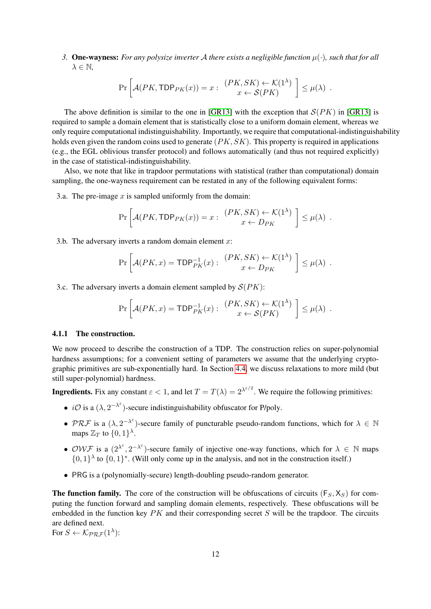*3.* **One-wayness:** *For any polysize inverter* A *there exists a negligible function*  $\mu(\cdot)$ *, such that for all*  $\lambda \in \mathbb{N}$ ,

$$
\Pr\left[\mathcal{A}(PK, \mathsf{TOP}_{PK}(x)) = x : \begin{array}{c} (PK, SK) \leftarrow \mathcal{K}(1^{\lambda}) \\ x \leftarrow \mathcal{S}(PK) \end{array}\right] \leq \mu(\lambda) .
$$

The above definition is similar to the one in [\[GR13\]](#page-22-9) with the exception that  $S(PK)$  in [GR13] is required to sample a domain element that is statistically close to a uniform domain element, whereas we only require computational indistinguishability. Importantly, we require that computational-indistinguishability holds even given the random coins used to generate  $(PK, SK)$ . This property is required in applications (e.g., the EGL oblivious transfer protocol) and follows automatically (and thus not required explicitly) in the case of statistical-indistinguishability.

Also, we note that like in trapdoor permutations with statistical (rather than computational) domain sampling, the one-wayness requirement can be restated in any of the following equivalent forms:

3.a. The pre-image  $x$  is sampled uniformly from the domain:

$$
\Pr\left[\mathcal{A}(PK, \mathsf{TOP}_{PK}(x)) = x: \begin{array}{c} (PK, SK) \leftarrow \mathcal{K}(1^{\lambda}) \\ x \leftarrow D_{PK} \end{array}\right] \leq \mu(\lambda) .
$$

3.b. The adversary inverts a random domain element  $x$ :

$$
\Pr\left[\mathcal{A}(PK,x) = \mathsf{TDP}_{PK}^{-1}(x): \begin{array}{c} (PK, SK) \leftarrow \mathcal{K}(1^{\lambda})\\ x \leftarrow D_{PK} \end{array}\right] \leq \mu(\lambda) \enspace .
$$

3.c. The adversary inverts a domain element sampled by  $S(PK)$ :

$$
\Pr\left[\mathcal{A}(PK,x) = \mathsf{TDP}_{PK}^{-1}(x): \begin{array}{c} (PK, SK) \leftarrow \mathcal{K}(1^{\lambda}) \\ x \leftarrow \mathcal{S}(PK) \end{array}\right] \leq \mu(\lambda) \enspace .
$$

#### 4.1.1 The construction.

We now proceed to describe the construction of a TDP. The construction relies on super-polynomial hardness assumptions; for a convenient setting of parameters we assume that the underlying cryptographic primitives are sub-exponentially hard. In Section [4.4,](#page-20-0) we discuss relaxations to more mild (but still super-polynomial) hardness.

**Ingredients.** Fix any constant  $\epsilon < 1$ , and let  $T = T(\lambda) = 2^{\lambda^{\epsilon/2}}$ . We require the following primitives:

- *iO* is a  $(\lambda, 2^{-\lambda^{\epsilon}})$ -secure indistinguishability obfuscator for P/poly.
- PRF is a  $(\lambda, 2^{-\lambda^{\epsilon}})$ -secure family of puncturable pseudo-random functions, which for  $\lambda \in \mathbb{N}$ maps  $\mathbb{Z}_T$  to  $\{0,1\}^{\lambda}$ .
- OWF is a  $(2^{\lambda^{\epsilon}}, 2^{-\lambda^{\epsilon}})$ -secure family of injective one-way functions, which for  $\lambda \in \mathbb{N}$  maps  $\{0,1\}^{\lambda}$  to  $\{0,1\}^*$ . (Will only come up in the analysis, and not in the construction itself.)
- PRG is a (polynomially-secure) length-doubling pseudo-random generator.

The function family. The core of the construction will be obfuscations of circuits ( $F_S, X_S$ ) for computing the function forward and sampling domain elements, respectively. These obfuscations will be embedded in the function key  $PK$  and their corresponding secret S will be the trapdoor. The circuits are defined next.

For  $S \leftarrow \mathcal{K}_{\mathcal{PRF}}(1^{\lambda})$ :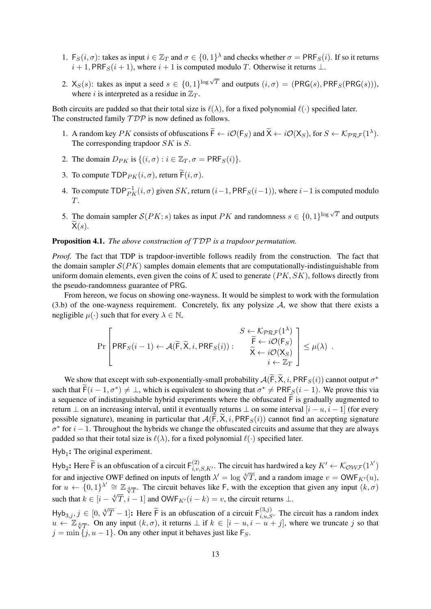- 1.  $F_S(i, \sigma)$ : takes as input  $i \in \mathbb{Z}_T$  and  $\sigma \in \{0, 1\}^{\lambda}$  and checks whether  $\sigma = \mathsf{PRF}_S(i)$ . If so it returns  $i + 1$ , PRF<sub>S</sub> $(i + 1)$ , where  $i + 1$  is computed modulo T. Otherwise it returns  $\perp$ .
- 2.  $X_S(s)$ : takes as input a seed  $s \in \{0,1\}^{\log \sqrt{T}}$  and outputs  $(i, \sigma) = (\text{PRG}(s), \text{PRF}_S(\text{PRG}(s))),$ where *i* is interpreted as a residue in  $\mathbb{Z}_T$ .

Both circuits are padded so that their total size is  $\ell(\lambda)$ , for a fixed polynomial  $\ell(\cdot)$  specified later. The constructed family  $TDP$  is now defined as follows.

- 1. A random key PK consists of obfuscations  $\tilde{F} \leftarrow i\mathcal{O}(F_S)$  and  $\tilde{X} \leftarrow i\mathcal{O}(X_S)$ , for  $S \leftarrow \mathcal{K}_{\mathcal{PRF}}(1^{\lambda})$ . The corresponding trapdoor SK is S.
- 2. The domain  $D_{PK}$  is  $\{(i, \sigma) : i \in \mathbb{Z}_T, \sigma = \text{PRF}_S(i)\}.$
- 3. To compute TDP  $p_K(i, \sigma)$ , return  $\widetilde{F}(i, \sigma)$ .
- 4. To compute  $\mathsf{TOP}^{-1}_{PK}(i, \sigma)$  given  $SK$ , return  $(i-1, \mathsf{PRF}_S(i-1))$ , where  $i-1$  is computed modulo T.
- 5. The domain sampler  $\mathcal{S}(PK; s)$  takes as input PK and randomness  $s \in \{0, 1\}^{\log \sqrt{T}}$  and outputs  $\widetilde{\mathsf{X}}(s)$ .

### <span id="page-13-0"></span>Proposition 4.1. *The above construction of*  $TDP$  *is a trapdoor permutation.*

*Proof.* The fact that TDP is trapdoor-invertible follows readily from the construction. The fact that the domain sampler  $S(PK)$  samples domain elements that are computationally-indistinguishable from uniform domain elements, even given the coins of K used to generate  $(PK, SK)$ , follows directly from the pseudo-randomness guarantee of PRG.

From hereon, we focus on showing one-wayness. It would be simplest to work with the formulation  $(3.b)$  of the one-wayness requirement. Concretely, fix any polysize A, we show that there exists a negligible  $\mu(\cdot)$  such that for every  $\lambda \in \mathbb{N}$ ,

$$
\Pr\left[\text{PRF}_S(i-1) \leftarrow \mathcal{A}(\widetilde{\mathsf{F}}, \widetilde{\mathsf{X}}, i, \text{PRF}_S(i)) : \begin{array}{c} S \leftarrow \mathcal{K}_{\mathcal{PRF}}(1^{\lambda}) \\ \widetilde{\mathsf{F}} \leftarrow i\mathcal{O}(\mathsf{F}_S) \\ \widetilde{\mathsf{X}} \leftarrow i\mathcal{O}(\mathsf{X}_S) \\ i \leftarrow \mathbb{Z}_T \end{array}\right] \leq \mu(\lambda) .
$$

We show that except with sub-exponentially-small probability  $\mathcal{A}(\widetilde{F}, \widetilde{X}, i, PRF_S(i))$  cannot output  $\sigma^*$ such that  $\widetilde{F}(i-1, \sigma^*) \neq \bot$ , which is equivalent to showing that  $\sigma^* \neq \text{PRF}_S(i-1)$ . We prove this via a sequence of indistinguishable hybrid experiments where the obfuscated  $\widetilde{F}$  is gradually augmented to return  $\perp$  on an increasing interval, until it eventually returns  $\perp$  on some interval  $[i - u, i - 1]$  (for every possible signature), meaning in particular that  $A(F, X, i, PRF<sub>S</sub>(i))$  cannot find an accepting signature  $\sigma^*$  for  $i - 1$ . Throughout the hybrids we change the obfuscated circuits and assume that they are always padded so that their total size is  $\ell(\lambda)$ , for a fixed polynomial  $\ell(\cdot)$  specified later.

# $Hyb<sub>1</sub>$ : The original experiment.

Hyb<sub>2</sub>: Here  $\widetilde{F}$  is an obfuscation of a circuit  $F_{i,v,S,K'}^{(2)}$ . The circuit has hardwired a key  $K' \leftarrow \mathcal{K}_{\mathcal{ONF}}(1^{\lambda'})$ for and injective OWF defined on inputs of length  $\lambda' = \log \sqrt[4]{T}$ , and a random image  $v = \text{OWF}_{K'}(u)$ , for  $u \leftarrow \{0,1\}^{\lambda'} \cong \mathbb{Z}_{\sqrt[n]{T}}$ . The circuit behaves like F, with the exception that given any input  $(k, \sigma)$ such that  $k \in [i - \sqrt[4]{T}, i - 1]$  and  $\text{OWF}_{K'}(i - k) = v$ , the circuit returns  $\perp$ .

 $Hyb_{3,j}, j \in [0,$ √4  $\overline{T} - 1$ : Here  $\widetilde{F}$  is an obfuscation of a circuit  $F_{i,u,S}^{(3,j)}$ . The circuit has a random index  $u \leftarrow \mathbb{Z}_{\sqrt[n]{T}}$ . On any input  $(k, \sigma)$ , it returns  $\perp$  if  $k \in [i - u, i - u + j]$ , where we truncate j so that  $j = \min \{j, u - 1\}$ . On any other input it behaves just like  $F_S$ .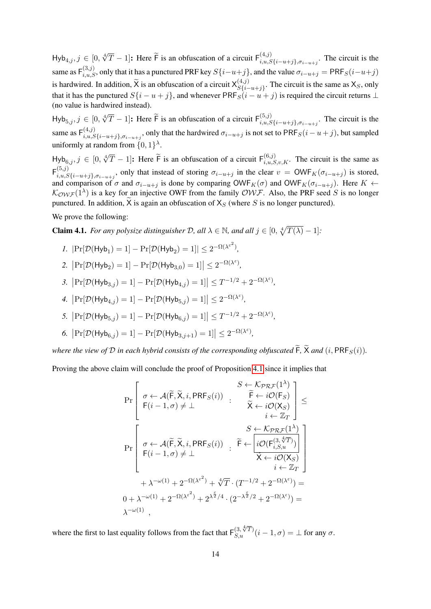$\mathsf{Hyb}_{4,j}, j \in [0,$  $\frac{4}{ }$  $\overline{T} - 1$ : Here  $\widetilde{F}$  is an obfuscation of a circuit  $F_{i,u,S}^{(4,j)}$  $\lim_{i,u,S\{i-u+j\},\sigma_{i-u+j}}$ . The circuit is the same as  $\mathsf{F}^{(3,j)}_{i,u,S}$ , only that it has a punctured PRF key  $S\{i-u+j\}$ , and the value  $\sigma_{i-u+j} = \mathsf{PRF}_S(i-u+j)$ is hardwired. In addition,  $\widetilde{X}$  is an obfuscation of a circuit  $X_{S\{i-1\}}^{(4,j)}$  $S{i-u+j}$ . The circuit is the same as  $X_S$ , only that it has the punctured  $S{i - u + j}$ , and whenever PRF<sub>S</sub> $(i - u + j)$  is required the circuit returns ⊥ (no value is hardwired instead).

 $\mathsf{Hyb}_{5,j}, j \in [0,$  $\frac{4}{ }$  $\overline{T} - 1$ : Here  $\widetilde{F}$  is an obfuscation of a circuit  $F_{i,u,S}^{(5,j)}$  $\lim_{i,u,S\{i-u+j\},\sigma_{i-u+j}}$ . The circuit is the same as  $F_{i,j}^{(4,j)}$  $\lim_{i,u,S\{i-u+j\},\sigma_{i-u+j}}$ , only that the hardwired  $\sigma_{i-u+j}$  is not set to PRF<sub>S</sub>( $i-u+j$ ), but sampled uniformly at random from  $\{0,1\}^{\lambda}$ .

 $Hyb_{6,j}, j \in [0,$ √4  $\overline{T} - 1$ : Here  $\tilde{F}$  is an obfuscation of a circuit  $F_{i,u,S,v,K}^{(6,j)}$ . The circuit is the same as  $F^{(5,j)}_{i,j}$  $i, u, S\{i-u+j\}, \sigma_{i-u+j}$ , only that instead of storing  $\sigma_{i-u+j}$  in the clear  $v = \text{OWF}_K(\sigma_{i-u+j})$  is stored, and comparison of  $\sigma$  and  $\sigma_{i-u+j}$  is done by comparing OWF<sub>K</sub>( $\sigma$ ) and OWF<sub>K</sub>( $\sigma_{i-u+j}$ ). Here K ←  $\mathcal{K}_{\mathcal{O}\mathcal{W}\mathcal{F}}(1^{\lambda})$  is a key for an injective OWF from the family  $\mathcal{O}\mathcal{W}\mathcal{F}$ . Also, the PRF seed S is no longer punctured. In addition, X is again an obfuscation of  $X<sub>S</sub>$  (where S is no longer punctured).

We prove the following:

<span id="page-14-0"></span>**Claim 4.1.** *For any polysize distinguisher D, all*  $\lambda \in \mathbb{N}$ *, and all*  $j \in [0, \sqrt[4]{T(\lambda)} - 1]$ *:* 

- *1*.  $|\Pr[\mathcal{D}(\mathsf{Hyb}_1) = 1] \Pr[\mathcal{D}(\mathsf{Hyb}_2) = 1]| \leq 2^{-\Omega(\lambda^{\varepsilon^2})},$
- 2.  $\left|\Pr[\mathcal{D}(\mathsf{Hyb}_2)=1]-\Pr[\mathcal{D}(\mathsf{Hyb}_{3,0})=1]\right|\leq 2^{-\Omega(\lambda^{\varepsilon})}$ ,
- 3.  $\left| \Pr[\mathcal{D}(\mathsf{Hyb}_{3,j}) = 1] \Pr[\mathcal{D}(\mathsf{Hyb}_{4,j}) = 1] \right| \leq T^{-1/2} + 2^{-\Omega(\lambda^{\varepsilon})}$ ,
- $4. \left| \Pr[\mathcal{D}(\mathsf{Hyb}_{4,j})=1] \Pr[\mathcal{D}(\mathsf{Hyb}_{5,j})=1] \right| \leq 2^{-\Omega(\lambda^{\varepsilon})},$
- $5. \left| \Pr[\mathcal{D}(\mathsf{Hyb}_{5,j}) = 1] \Pr[\mathcal{D}(\mathsf{Hyb}_{6,j}) = 1] \right| \leq T^{-1/2} + 2^{-\Omega(\lambda^{\varepsilon})},$
- 6.  $\left|\Pr[\mathcal{D}(\mathsf{Hyb}_{6,j})=1]-\Pr[\mathcal{D}(\mathsf{Hyb}_{3,j+1})=1]\right|\leq 2^{-\Omega(\lambda^{\varepsilon})}$

*where the view of*  $D$  *in each hybrid consists of the corresponding obfuscated*  $\widetilde{F}$ *,*  $\widetilde{X}$  *and* (*i*, PRF<sub>S</sub>(*i*))*.* 

Proving the above claim will conclude the proof of Proposition [4.1](#page-13-0) since it implies that

$$
\Pr\left[\begin{array}{c}S \leftarrow \mathcal{K}_{\mathcal{PRF}}(1^{\lambda})\\ \mathsf{F}(i-1,\sigma) \neq \bot \end{array}\right]: \begin{array}{c}S \leftarrow \mathcal{K}_{\mathcal{PRF}}(1^{\lambda})\\ \widetilde{\mathsf{F}} \leftarrow i\mathcal{O}(\mathsf{F}_{S})\\ \widetilde{\mathsf{X}} \leftarrow i\mathcal{O}(\mathsf{X}_{S})\\ i \leftarrow \mathbb{Z}_{T} \end{array}\right] \leq \\\Pr\left[\begin{array}{c} \sigma \leftarrow \mathcal{A}(\widetilde{\mathsf{F}}, \widetilde{\mathsf{X}}, i, \mathsf{PRF}_{S}(i)) \\\mathsf{F}(i-1,\sigma) \neq \bot \end{array}\right]: \begin{array}{c} S \leftarrow \mathcal{K}_{\mathcal{PRF}}(1^{\lambda})\\ \widetilde{\mathsf{X}} \leftarrow \mathbb{Z}_{T} \end{array}\right] \\\left[\begin{array}{c} \sigma \leftarrow \mathcal{A}(\widetilde{\mathsf{F}}, \widetilde{\mathsf{X}}, i, \mathsf{PRF}_{S}(i)) \\\mathsf{F}(i-1,\sigma) \neq \bot \end{array}\right]: \begin{array}{c} S \leftarrow \mathcal{K}_{\mathcal{PRF}}(1^{\lambda})\\ \widetilde{\mathsf{X}} \leftarrow i\mathcal{O}(\mathsf{X}_{S})\\ \widetilde{\mathsf{X}} \leftarrow i\mathcal{O}(\mathsf{X}_{S}) \end{array}\right] \\\left[\begin{array}{c} \sigma + \lambda^{-\omega(1)} + 2^{-\Omega(\lambda^{\varepsilon^{2}})} + \sqrt[4]{T} \cdot (T^{-1/2} + 2^{-\Omega(\lambda^{\varepsilon})}) = \lambda^{-\omega(1)} \end{array}\right] \\\left[ \begin{array}{c} 0 + \lambda^{-\omega(1)} + 2^{-\Omega(\lambda^{\varepsilon^{2}})} + 2^{\lambda^{\frac{\varepsilon}{2}}/4} \cdot (2^{-\lambda^{\frac{\varepsilon}{2}}/2} + 2^{-\Omega(\lambda^{\varepsilon})}) = \lambda^{-\omega(1)} \end{array}\right]
$$

where the first to last equality follows from the fact that  $F_{S,u}^{(3,\sqrt[4]{T})}(i-1,\sigma) = \bot$  for any  $\sigma$ .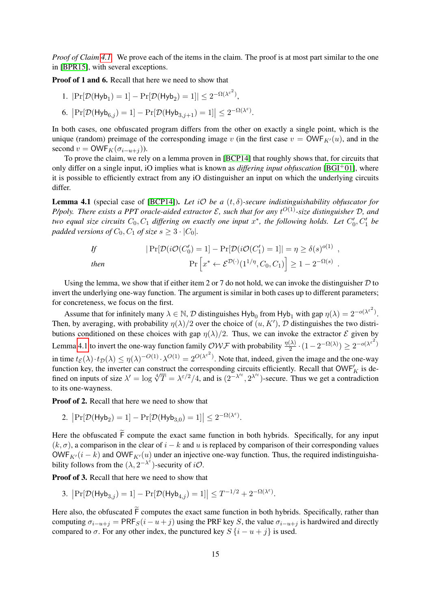*Proof of Claim [4.1.](#page-14-0)* We prove each of the items in the claim. The proof is at most part similar to the one in [\[BPR15\]](#page-21-9), with several exceptions.

Proof of 1 and 6. Recall that here we need to show that

1. 
$$
|\Pr[\mathcal{D}(\mathsf{Hyb}_1) = 1] - \Pr[\mathcal{D}(\mathsf{Hyb}_2) = 1]| \leq 2^{-\Omega(\lambda^{\varepsilon^2})}
$$
,

6. 
$$
|\Pr[\mathcal{D}(\mathsf{Hyb}_{6,j})=1]-\Pr[\mathcal{D}(\mathsf{Hyb}_{3,j+1})=1]|\leq 2^{-\Omega(\lambda^{\varepsilon})}
$$
.

In both cases, one obfuscated program differs from the other on exactly a single point, which is the unique (random) preimage of the corresponding image v (in the first case  $v = \text{OWF}_{K'}(u)$ , and in the second  $v = \text{OWF}_K(\sigma_{i-u+j}))$ .

To prove the claim, we rely on a lemma proven in [\[BCP14\]](#page-21-12) that roughly shows that, for circuits that only differ on a single input, iO implies what is known as *differing input obfuscation* [\[BGI](#page-21-10)+01], where it is possible to efficiently extract from any iO distinguisher an input on which the underlying circuits differ.

<span id="page-15-0"></span>**Lemma 4.1** (special case of [\[BCP14\]](#page-21-12)). Let iO be a  $(t, \delta)$ -secure indistinguishability obfuscator for *P*/poly. There exists a PPT oracle-aided extractor  $\mathcal{E}$ , such that for any  $t^{O(1)}$ -size distinguisher  $\mathcal{D}$ , and *two equal size circuits*  $C_0, C_1$  *differing on exactly one input*  $x^*$ , *the following holds. Let*  $C'_0, C'_1$  *be padded versions of*  $C_0$ ,  $C_1$  *of size*  $s \geq 3 \cdot |C_0|$ *.* 

$$
\text{If} \qquad |\Pr[\mathcal{D}(i\mathcal{O}(C_0')=1]-\Pr[\mathcal{D}(i\mathcal{O}(C_1')=1]|=\eta\geq \delta(s)^{o(1)},
$$
\n
$$
\text{Then} \qquad \qquad \Pr\left[x^*\leftarrow \mathcal{E}^{\mathcal{D}(\cdot)}(1^{1/\eta},C_0,C_1)\right]\geq 1-2^{-\Omega(s)}.
$$

Using the lemma, we show that if either item 2 or 7 do not hold, we can invoke the distinguisher  $D$  to invert the underlying one-way function. The argument is similar in both cases up to different parameters; for concreteness, we focus on the first.

Assume that for infinitely many  $\lambda \in \mathbb{N}$ ,  $\mathcal D$  distinguishes  $Hyb_0$  from  $Hyb_1$  with gap  $\eta(\lambda) = 2^{-o(\lambda^{\varepsilon^2})}$ . Then, by averaging, with probability  $\eta(\lambda)/2$  over the choice of  $(u, K')$ ,  $\mathcal D$  distinguishes the two distributions conditioned on these choices with gap  $\eta(\lambda)/2$ . Thus, we can invoke the extractor  $\mathcal E$  given by Lemma [4.1](#page-15-0) to invert the one-way function family  $\mathcal{OWF}$  with probability  $\frac{\eta(\lambda)}{2} \cdot (1 - 2^{-\Omega(\lambda)}) \ge 2^{-o(\lambda^{\varepsilon^2})}$ in time  $t_{\mathcal{E}}(\lambda) \cdot t_{\mathcal{D}}(\lambda) \le \eta(\lambda)^{-O(1)} \cdot \lambda^{O(1)} = 2^{O(\lambda^{\varepsilon^2})}$ . Note that, indeed, given the image and the one-way function key, the inverter can construct the corresponding circuits efficiently. Recall that  $\text{OWF}'_K$  is defunction key, the inverter can construct the corresponding circuits efficiently. Recall that  $\mathsf{OVVF}_K$  is defined on inputs of size  $\lambda' = \log \sqrt[4]{T} = \lambda^{\epsilon/2}/4$ , and is  $(2^{-\lambda'\epsilon}, 2^{\lambda/\epsilon})$ -secure. Thus we get a contradictio to its one-wayness.

Proof of 2. Recall that here we need to show that

2. 
$$
|\Pr[\mathcal{D}(\mathsf{Hyb}_2) = 1] - \Pr[\mathcal{D}(\mathsf{Hyb}_{3,0}) = 1]| \leq 2^{-\Omega(\lambda^{\varepsilon})}
$$
.

Here the obfuscated  $\tilde{F}$  compute the exact same function in both hybrids. Specifically, for any input  $(k, \sigma)$ , a comparison in the clear of  $i - k$  and u is replaced by comparison of their corresponding values OWF<sub>K'</sub> $(i - k)$  and OWF<sub>K'</sub> $(u)$  under an injective one-way function. Thus, the required indistinguishability follows from the  $(\lambda, 2^{-\lambda^{\epsilon}})$ -security of *iO*.

Proof of 3. Recall that here we need to show that

3. 
$$
|\Pr[\mathcal{D}(\mathsf{Hyb}_{3,j})=1]-\Pr[\mathcal{D}(\mathsf{Hyb}_{4,j})=1]|\leq T^{-1/2}+2^{-\Omega(\lambda^{\varepsilon})}
$$
.

Here also, the obfuscated  $\widetilde{F}$  computes the exact same function in both hybrids. Specifically, rather than computing  $\sigma_{i-u+j} = \text{PRF}_S(i-u+j)$  using the PRF key S, the value  $\sigma_{i-u+j}$  is hardwired and directly compared to  $\sigma$ . For any other index, the punctured key  $S\{i - u + j\}$  is used.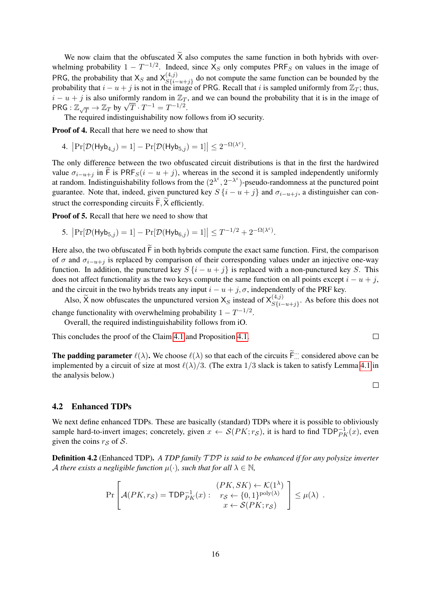We now claim that the obfuscated  $\widetilde{X}$  also computes the same function in both hybrids with overwhelming probability  $1 - T^{-1/2}$ . Indeed, since  $X_S$  only computes PRF<sub>S</sub> on values in the image of PRG, the probability that  $X_S$  and  $X_{S(i-1)}^{(4,j)}$  $S{i-u+j}$  do not compute the same function can be bounded by the probability that  $i - u + j$  is not in the image of PRG. Recall that i is sampled uniformly from  $\mathbb{Z}_T$ ; thus,  $i - u + j$  is also uniformly random in  $\mathbb{Z}_T$ , and we can bound the probability that it is in the image of  $v - u + j$  is also uniformly random in  $\mathbb{Z}_T$ <br>PRG :  $\mathbb{Z}_{\sqrt{T}} \to \mathbb{Z}_T$  by  $\sqrt{T} \cdot T^{-1} = T^{-1/2}$ .

The required indistinguishability now follows from iO security.

Proof of 4. Recall that here we need to show that

4. 
$$
|\Pr[\mathcal{D}(\mathsf{Hyb}_{4,j})=1]-\Pr[\mathcal{D}(\mathsf{Hyb}_{5,j})=1]|\leq 2^{-\Omega(\lambda^{\varepsilon})}
$$
.

The only difference between the two obfuscated circuit distributions is that in the first the hardwired value  $\sigma_{i-u+i}$  in F is PRF<sub>S</sub> $(i - u + j)$ , whereas in the second it is sampled independently uniformly at random. Indistinguishability follows from the  $(2^{\lambda^{\epsilon}}, 2^{-\lambda^{\epsilon}})$ -pseudo-randomness at the punctured point guarantee. Note that, indeed, given punctured key  $S\{i-u+j\}$  and  $\sigma_{i-u+j}$ , a distinguisher can construct the corresponding circuits  $\widetilde{F}$ ,  $\widetilde{X}$  efficiently.

Proof of 5. Recall that here we need to show that

5. 
$$
|\Pr[\mathcal{D}(\mathsf{Hyb}_{5,j}) = 1] - \Pr[\mathcal{D}(\mathsf{Hyb}_{6,j}) = 1]| \leq T^{-1/2} + 2^{-\Omega(\lambda^{\varepsilon})}
$$
.

Here also, the two obfuscated  $\widetilde{F}$  in both hybrids compute the exact same function. First, the comparison of  $\sigma$  and  $\sigma_{i-u+i}$  is replaced by comparison of their corresponding values under an injective one-way function. In addition, the punctured key  $S\{i-u+j\}$  is replaced with a non-punctured key S. This does not affect functionality as the two keys compute the same function on all points except  $i - u + j$ , and the circuit in the two hybrids treats any input  $i - u + j$ ,  $\sigma$ , independently of the PRF key.

Also,  $\widetilde{X}$  now obfuscates the unpunctured version  $X_S$  instead of  $X_{S\{i-1\}}^{(4,j)}$  $S{i-y \choose 1}$ . As before this does not change functionality with overwhelming probability  $1 - T^{-1/2}$ .

Overall, the required indistinguishability follows from iO.

This concludes the proof of the Claim [4.1](#page-14-0) and Proposition [4.1.](#page-13-0)

The padding parameter  $\ell(\lambda)$ . We choose  $\ell(\lambda)$  so that each of the circuits  $\widetilde{F}^{\ldots}$  considered above can be implemented by a circuit of size at most  $\ell(\lambda)/3$ . (The extra 1/3 slack is taken to satisfy Lemma [4.1](#page-15-0) in the analysis below.)

# <span id="page-16-0"></span>4.2 Enhanced TDPs

We next define enhanced TDPs. These are basically (standard) TDPs where it is possible to obliviously sample hard-to-invert images; concretely, given  $x \leftarrow S(PK; r_S)$ , it is hard to find  $TDP_{PK}^{-1}(x)$ , even given the coins  $r_S$  of S.

Definition 4.2 (Enhanced TDP). *A TDP family TDP is said to be enhanced if for any polysize inverter* A *there exists a negligible function*  $\mu(\cdot)$ *, such that for all*  $\lambda \in \mathbb{N}$ *,* 

$$
\Pr\left[\mathcal{A}(PK, r_{\mathcal{S}}) = \mathsf{TDP}_{PK}^{-1}(x) : \begin{array}{c} (PK, SK) \leftarrow \mathcal{K}(1^{\lambda}) \\ r_{\mathcal{S}} \leftarrow \{0, 1\}^{\text{poly}(\lambda)} \\ x \leftarrow \mathcal{S}(PK; r_{\mathcal{S}}) \end{array}\right] \leq \mu(\lambda) .
$$

 $\Box$ 

 $\Box$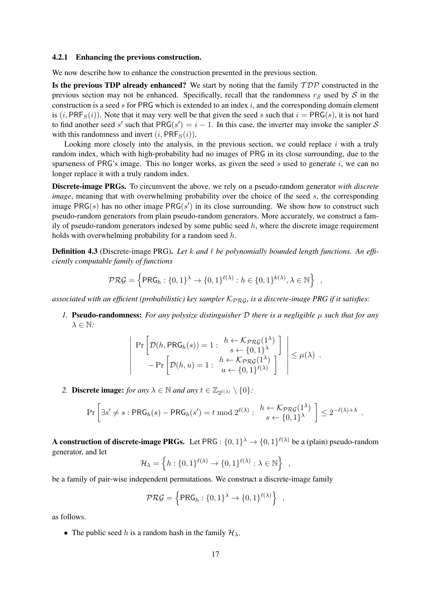#### 4.2.1 Enhancing the previous construction.

We now describe how to enhance the construction presented in the previous section.

Is the previous TDP already enhanced? We start by noting that the family  $\mathcal{TDP}$  constructed in the previous section may not be enhanced. Specifically, recall that the randomness  $r_S$  used by S in the construction is a seed  $s$  for PRG which is extended to an index  $i$ , and the corresponding domain element is  $(i, PRF<sub>S</sub>(i))$ . Note that it may very well be that given the seed s such that  $i = PRG(s)$ , it is not hard to find another seed s' such that  $PRG(s') = i - 1$ . In this case, the inverter may invoke the sampler S with this randomness and invert  $(i, PRF<sub>S</sub>(i))$ .

Looking more closely into the analysis, in the previous section, we could replace  $i$  with a truly random index, which with high-probability had no images of PRG in its close surrounding, due to the sparseness of PRG's image. This no longer works, as given the seed s used to generate  $i$ , we can no longer replace it with a truly random index.

Discrete-image PRGs. To circumvent the above, we rely on a pseudo-random generator *with discrete image*, meaning that with overwhelming probability over the choice of the seed s, the corresponding image PRG(s) has no other image PRG(s') in its close surrounding. We show how to construct such pseudo-random generators from plain pseudo-random generators. More accurately, we construct a family of pseudo-random generators indexed by some public seed  $h$ , where the discrete image requirement holds with overwhelming probability for a random seed h.

**Definition 4.3** (Discrete-image PRG). Let k and  $\ell$  be polynomially bounded length functions. An effi*ciently computable family of functions*

$$
\mathcal{PRG} = \left\{ \mathsf{PRG}_h : \{0,1\}^\lambda \to \{0,1\}^{\ell(\lambda)} : h \in \{0,1\}^{k(\lambda)}, \lambda \in \mathbb{N} \right\} ,
$$

*associated with an efficient (probabilistic) key sampler*  $K_{PRG}$ *, is a discrete-image PRG if it satisfies:* 

*1.* **Pseudo-randomness:** *For any polysize distinguisher*  $D$  *there is a negligible*  $\mu$  *such that for any*  $\lambda \in \mathbb{N}$ :

$$
\Pr\left[\mathcal{D}(h, \text{PRG}_h(s)) = 1 : \begin{array}{c} h \leftarrow \mathcal{K}_{\mathcal{PRG}}(1^{\lambda}) \\ s \leftarrow \{0, 1\}^{\lambda} \\ -\Pr\left[\mathcal{D}(h, u) = 1 : \begin{array}{c} h \leftarrow \mathcal{K}_{\mathcal{PRG}}(1^{\lambda}) \\ u \leftarrow \{0, 1\}^{\ell(\lambda)} \end{array}\right]\end{array}\right] \leq \mu(\lambda) .
$$

2. **Discrete image:** *for any*  $\lambda \in \mathbb{N}$  *and any*  $t \in \mathbb{Z}_{2^{\ell(\lambda)}} \setminus \{0\}$ *:* 

 $\bigg\}$ I  $\frac{1}{2}$ I  $\frac{1}{2}$ I  $\frac{1}{2}$  $\begin{array}{c} \end{array}$ 

$$
\Pr\left[\exists s' \neq s : \mathsf{PRG}_h(s) - \mathsf{PRG}_h(s') = t \bmod 2^{\ell(\lambda)} : \begin{array}{c} h \leftarrow \mathcal{K}_{\mathcal{PRG}}(1^{\lambda}) \\ s \leftarrow \{0,1\}^{\lambda} \end{array}\right] \leq 2^{-\ell(\lambda)+\lambda} \; .
$$

**A construction of discrete-image PRGs.** Let PRG :  $\{0,1\}^{\lambda} \to \{0,1\}^{\ell(\lambda)}$  be a (plain) pseudo-random generator, and let

$$
\mathcal{H}_{\lambda} = \left\{ h : \{0,1\}^{\ell(\lambda)} \to \{0,1\}^{\ell(\lambda)} : \lambda \in \mathbb{N} \right\} ,
$$

be a family of pair-wise independent permutations. We construct a discrete-image family

$$
\mathcal{PRG} = \left\{ \mathsf{PRG}_h : \{0,1\}^\lambda \to \{0,1\}^{\ell(\lambda)} \right\} ,
$$

as follows.

• The public seed h is a random hash in the family  $\mathcal{H}_{\lambda}$ .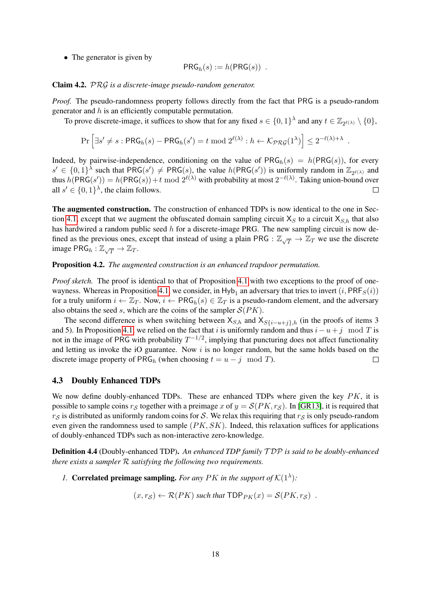• The generator is given by

$$
PRG_h(s) := h(PRG(s)) .
$$

#### Claim 4.2. PRG *is a discrete-image pseudo-random generator.*

*Proof.* The pseudo-randomness property follows directly from the fact that PRG is a pseudo-random generator and  $h$  is an efficiently computable permutation.

To prove discrete-image, it suffices to show that for any fixed  $s \in \{0,1\}^{\lambda}$  and any  $t \in \mathbb{Z}_{2^{\ell(\lambda)}} \setminus \{0\}$ ,

.

$$
\Pr\left[\exists s' \neq s : \mathsf{PRG}_h(s) - \mathsf{PRG}_h(s') = t \bmod 2^{\ell(\lambda)} : h \leftarrow \mathcal{K}_{\mathcal{PRG}}(1^{\lambda})\right] \leq 2^{-\ell(\lambda) + \lambda}
$$

Indeed, by pairwise-independence, conditioning on the value of  $PRG_h(s) = h(PRG(s))$ , for every  $s' \in \{0,1\}^{\lambda}$  such that PRG(s')  $\neq$  PRG(s), the value  $h(PRG(s'))$  is uniformly random in  $\mathbb{Z}_{2^{\ell(\lambda)}}$  and thus  $h(\text{PRG}(s')) = h(\text{PRG}(s)) + t \mod 2^{\ell(\lambda)}$  with probability at most  $2^{-\ell(\lambda)}$ . Taking union-bound over all  $s' \in \{0,1\}^{\lambda}$ , the claim follows.  $\Box$ 

The augmented construction. The construction of enhanced TDPs is now identical to the one in Sec-tion [4.1,](#page-11-0) except that we augment the obfuscated domain sampling circuit  $X_S$  to a circuit  $X_{S,h}$  that also has hardwired a random public seed h for a discrete-image PRG. The new sampling circuit is now defined as the previous ones, except that instead of using a plain PRG :  $\mathbb{Z}_{\sqrt{T}} \to \mathbb{Z}_T$  we use the discrete image PRG<sub>h</sub> :  $\mathbb{Z}_{\sqrt{T}} \to \mathbb{Z}_T$ .

### Proposition 4.2. *The augmented construction is an enhanced trapdoor permutation.*

*Proof sketch.* The proof is identical to that of Proposition [4.1](#page-13-0) with two exceptions to the proof of one-wayness. Whereas in Proposition [4.1,](#page-13-0) we consider, in  $Hyb_1$  an adversary that tries to invert  $(i, PRF<sub>S</sub>(i))$ for a truly uniform  $i \leftarrow \mathbb{Z}_T$ . Now,  $i \leftarrow \text{PRG}_h(s) \in \mathbb{Z}_T$  is a pseudo-random element, and the adversary also obtains the seed s, which are the coins of the sampler  $S(PK)$ .

The second difference is when switching between  $X_{S,h}$  and  $X_{S{i-1}+j}$ , (in the proofs of items 3 and 5). In Proposition [4.1,](#page-13-0) we relied on the fact that i is uniformly random and thus  $i-u+j \mod T$  is not in the image of PRG with probability  $T^{-1/2}$ , implying that puncturing does not affect functionality and letting us invoke the iO guarantee. Now  $i$  is no longer random, but the same holds based on the discrete image property of PRG<sub>h</sub> (when choosing  $t = u - j \mod T$ ).  $\Box$ 

#### <span id="page-18-0"></span>4.3 Doubly Enhanced TDPs

We now define doubly-enhanced TDPs. These are enhanced TDPs where given the key  $PK$ , it is possible to sample coins  $r_S$  together with a preimage x of  $y = S(PK, r_S)$ . In [\[GR13\]](#page-22-9), it is required that  $r_S$  is distributed as uniformly random coins for S. We relax this requiring that  $r_S$  is only pseudo-random even given the randomness used to sample  $(PK, SK)$ . Indeed, this relaxation suffices for applications of doubly-enhanced TDPs such as non-interactive zero-knowledge.

Definition 4.4 (Doubly-enhanced TDP). *An enhanced TDP family* T DP *is said to be doubly-enhanced there exists a sampler* R *satisfying the following two requirements.*

*1.* Correlated preimage sampling. For any PK in the support of  $K(1^{\lambda})$ :

$$
(x, r_S) \leftarrow \mathcal{R}(PK)
$$
 such that  $\text{TOP}_{PK}(x) = \mathcal{S}(PK, r_S)$ .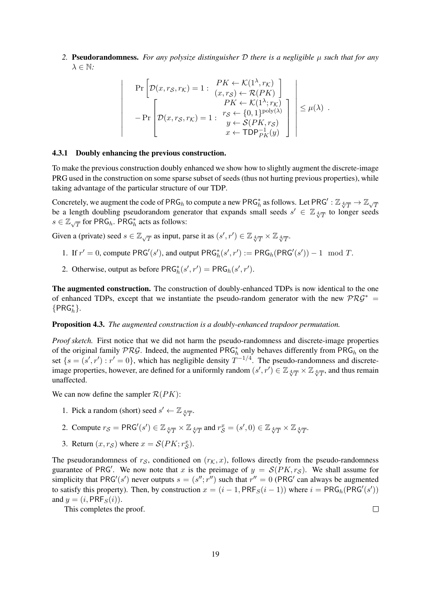*2.* Pseudorandomness. *For any polysize distinguisher* D *there is a negligible* µ *such that for any*  $\lambda \in \mathbb{N}$ :

$$
\Pr\left[\mathcal{D}(x, r_{\mathcal{S}}, r_{\mathcal{K}}) = 1: \begin{array}{c} PK \leftarrow \mathcal{K}(1^{\lambda}, r_{\mathcal{K}}) \\ (x, r_{\mathcal{S}}) \leftarrow \mathcal{R}(PK) \\ PK \leftarrow \mathcal{K}(1^{\lambda}; r_{\mathcal{K}}) \\ PK \leftarrow \mathcal{K}(1^{\lambda}; r_{\mathcal{K}}) \\ r_{\mathcal{S}} \leftarrow \mathcal{K}(1^{\lambda}; r_{\mathcal{K}}) \\ y \leftarrow \mathcal{S}(PK, r_{\mathcal{S}}) \\ x \leftarrow \text{TOP}_{PK}^{-1}(y) \end{array}\right]\right\} \leq \mu(\lambda) .
$$

#### 4.3.1 Doubly enhancing the previous construction.

 $\bigg\}$  $\frac{1}{2}$   $\bigg]$  $\frac{1}{2}$ I  $\frac{1}{2}$ I  $\frac{1}{2}$  $\bigg]$  $\frac{1}{2}$  $\begin{array}{c} \end{array}$ 

To make the previous construction doubly enhanced we show how to slightly augment the discrete-image PRG used in the construction on some sparse subset of seeds (thus not hurting previous properties), while taking advantage of the particular structure of our TDP.

Concretely, we augment the code of PRG<sub>h</sub> to compute a new PRG<sup>\*</sup><sub>h</sub> as follows. Let PRG<sup>'</sup>:  $\mathbb{Z}_{\sqrt[m]{T}} \to \mathbb{Z}_{\sqrt{T}}$ be a length doubling pseudorandom generator that expands small seeds  $s' \in \mathbb{Z}_{\sqrt[4]{T}}$  to longer seeds  $s \in \mathbb{Z}_{\sqrt{T}}$  for PRG<sub>h</sub>. PRG<sub>h</sub> acts as follows:

Given a (private) seed  $s \in \mathbb{Z}_{\sqrt{T}}$  as input, parse it as  $(s', r') \in \mathbb{Z}_{\sqrt[T]{T}} \times \mathbb{Z}_{\sqrt[T]{T}}$ .

- 1. If  $r' = 0$ , compute PRG'(s'), and output PRG<sub>h</sub>'(s', r') := PRG<sub>h</sub>(PRG'(s')) 1 mod T.
- 2. Otherwise, output as before  $PRG_h^*(s', r') = PRG_h(s', r')$ .

The augmented construction. The construction of doubly-enhanced TDPs is now identical to the one of enhanced TDPs, except that we instantiate the pseudo-random generator with the new  $\mathcal{PRG}^*$  =  $\{\textsf{PRG}^*_h\}.$ 

#### Proposition 4.3. *The augmented construction is a doubly-enhanced trapdoor permutation.*

*Proof sketch.* First notice that we did not harm the pseudo-randomness and discrete-image properties of the original family  $PRG$ . Indeed, the augmented PRG<sup>\*</sup><sub>h</sub> only behaves differently from PRG<sub>h</sub> on the set  $\{s = (s', r') : r' = 0\}$ , which has negligible density  $T^{-1/4}$ . The pseudo-randomness and discreteimage properties, however, are defined for a uniformly random  $(s', r') \in \mathbb{Z}_{\sqrt[4]{T}} \times \mathbb{Z}_{\sqrt[4]{T}}$ , and thus remain unaffected.

We can now define the sampler  $\mathcal{R}(PK)$ :

- 1. Pick a random (short) seed  $s' \leftarrow \mathbb{Z}_{\sqrt[4]{T}}$ .
- 2. Compute  $r_S = \text{PRG}'(s') \in \mathbb{Z}_{\sqrt[4]{T}} \times \mathbb{Z}_{\sqrt[4]{T}}$  and  $r_S^x = (s', 0) \in \mathbb{Z}_{\sqrt[4]{T}} \times \mathbb{Z}_{\sqrt[4]{T}}$ .
- 3. Return  $(x, r_S)$  where  $x = \mathcal{S}(PK; r_S^x)$ .

The pseudorandomness of  $r_S$ , conditioned on  $(r_K, x)$ , follows directly from the pseudo-randomness guarantee of PRG'. We now note that x is the preimage of  $y = S(PK, r_S)$ . We shall assume for simplicity that PRG'(s') never outputs  $s = (s''; r'')$  such that  $r'' = 0$  (PRG' can always be augmented to satisfy this property). Then, by construction  $x = (i - 1, \text{PRF}_S(i - 1))$  where  $i = \text{PRG}_h(\text{PRG}'(s'))$ and  $y = (i, \text{PRF}_S(i))$ .

This completes the proof.

 $\Box$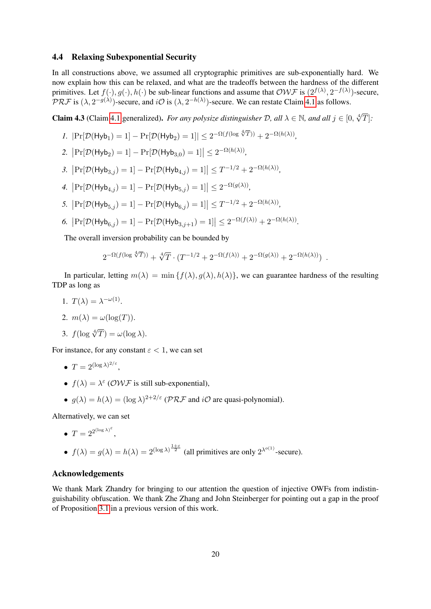# <span id="page-20-0"></span>4.4 Relaxing Subexponential Security

In all constructions above, we assumed all cryptographic primitives are sub-exponentially hard. We now explain how this can be relaxed, and what are the tradeoffs between the hardness of the different primitives. Let  $f(\cdot), g(\cdot), h(\cdot)$  be sub-linear functions and assume that  $\mathcal{OWF}$  is  $(2^{f(\lambda)}, 2^{-f(\lambda)})$ -secure,  $\mathcal{PRF}$  is  $(\lambda, 2^{-g(\lambda)})$ -secure, and  $i\mathcal{O}$  is  $(\lambda, 2^{-h(\lambda)})$ -secure. We can restate Claim [4.1](#page-14-0) as follows.

**Claim 4.3** (Claim [4.1](#page-14-0) generalized). *For any polysize distinguisher D, all*  $\lambda \in \mathbb{N}$ *, and all*  $j \in [0, \sqrt[4]{T}]$ :

*1.*  $|\Pr[\mathcal{D}(\mathsf{Hyb}_1) = 1] - \Pr[\mathcal{D}(\mathsf{Hyb}_2) = 1]| \leq 2^{-\Omega(f(\log \sqrt[4]{T}))} + 2^{-\Omega(h(\lambda))},$ 

2. 
$$
|\Pr[\mathcal{D}(\mathsf{Hyb}_2) = 1] - \Pr[\mathcal{D}(\mathsf{Hyb}_{3,0}) = 1]| \leq 2^{-\Omega(h(\lambda))}
$$
,

- 3.  $\left|\Pr[\mathcal{D}(\mathsf{Hyb}_{3,j})=1]-\Pr[\mathcal{D}(\mathsf{Hyb}_{4,j})=1]\right|\leq T^{-1/2}+2^{-\Omega(h(\lambda))},$
- 4.  $\left|\Pr[\mathcal{D}(\mathsf{Hyb}_{4,j})=1]-\Pr[\mathcal{D}(\mathsf{Hyb}_{5,j})=1]\right|\leq 2^{-\Omega(g(\lambda))},$
- 5.  $\left|\Pr[\mathcal{D}(\mathsf{Hyb}_{5,j})=1]-\Pr[\mathcal{D}(\mathsf{Hyb}_{6,j})=1]\right|\leq T^{-1/2}+2^{-\Omega(h(\lambda))},$
- 6.  $|\Pr[\mathcal{D}(\text{Hyb}_{6,j}) = 1] \Pr[\mathcal{D}(\text{Hyb}_{3,j+1}) = 1]| \leq 2^{-\Omega(f(\lambda))} + 2^{-\Omega(h(\lambda))}.$

The overall inversion probability can be bounded by

$$
2^{-\Omega(f(\log \sqrt[4]{T}))} + \sqrt[4]{T} \cdot (T^{-1/2} + 2^{-\Omega(f(\lambda))} + 2^{-\Omega(g(\lambda))} + 2^{-\Omega(h(\lambda))}) .
$$

In particular, letting  $m(\lambda) = \min \{f(\lambda), g(\lambda), h(\lambda)\}\$ , we can guarantee hardness of the resulting TDP as long as

1.  $T(\lambda) = \lambda^{-\omega(1)}$ .

2. 
$$
m(\lambda) = \omega(\log(T)).
$$

3.  $f(\log \sqrt[4]{T}) = \omega(\log \lambda)$ .

For instance, for any constant  $\varepsilon < 1$ , we can set

- $T = 2^{(\log \lambda)^{2/\varepsilon}},$
- $f(\lambda) = \lambda^{\varepsilon}$  (OWF is still sub-exponential),
- $g(\lambda) = h(\lambda) = (\log \lambda)^{2+2/\varepsilon}$  (PRF and iO are quasi-polynomial).

Alternatively, we can set

- $T = 2^{2(\log \lambda)^{\varepsilon}},$
- $f(\lambda) = g(\lambda) = h(\lambda) = 2^{(\log \lambda)^{\frac{1+\epsilon}{2}}}$  (all primitives are only  $2^{\lambda^{o(1)}}$ -secure).

# Acknowledgements

We thank Mark Zhandry for bringing to our attention the question of injective OWFs from indistinguishability obfuscation. We thank Zhe Zhang and John Steinberger for pointing out a gap in the proof of Proposition [3.1](#page-8-2) in a previous version of this work.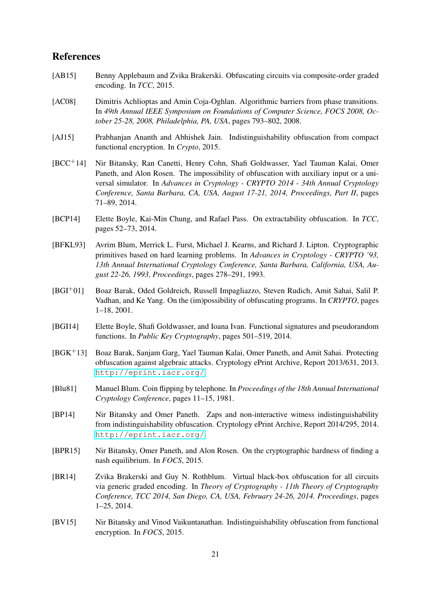# References

- <span id="page-21-5"></span>[AB15] Benny Applebaum and Zvika Brakerski. Obfuscating circuits via composite-order graded encoding. In *TCC*, 2015.
- <span id="page-21-1"></span>[AC08] Dimitris Achlioptas and Amin Coja-Oghlan. Algorithmic barriers from phase transitions. In *49th Annual IEEE Symposium on Foundations of Computer Science, FOCS 2008, October 25-28, 2008, Philadelphia, PA, USA*, pages 793–802, 2008.
- <span id="page-21-6"></span>[AJ15] Prabhanjan Ananth and Abhishek Jain. Indistinguishability obfuscation from compact functional encryption. In *Crypto*, 2015.
- <span id="page-21-11"></span>[BCC+14] Nir Bitansky, Ran Canetti, Henry Cohn, Shafi Goldwasser, Yael Tauman Kalai, Omer Paneth, and Alon Rosen. The impossibility of obfuscation with auxiliary input or a universal simulator. In *Advances in Cryptology - CRYPTO 2014 - 34th Annual Cryptology Conference, Santa Barbara, CA, USA, August 17-21, 2014, Proceedings, Part II*, pages 71–89, 2014.
- <span id="page-21-12"></span>[BCP14] Elette Boyle, Kai-Min Chung, and Rafael Pass. On extractability obfuscation. In *TCC*, pages 52–73, 2014.
- <span id="page-21-0"></span>[BFKL93] Avrim Blum, Merrick L. Furst, Michael J. Kearns, and Richard J. Lipton. Cryptographic primitives based on hard learning problems. In *Advances in Cryptology - CRYPTO '93, 13th Annual International Cryptology Conference, Santa Barbara, California, USA, August 22-26, 1993, Proceedings*, pages 278–291, 1993.
- <span id="page-21-10"></span>[BGI+01] Boaz Barak, Oded Goldreich, Russell Impagliazzo, Steven Rudich, Amit Sahai, Salil P. Vadhan, and Ke Yang. On the (im)possibility of obfuscating programs. In *CRYPTO*, pages 1–18, 2001.
- <span id="page-21-13"></span>[BGI14] Elette Boyle, Shafi Goldwasser, and Ioana Ivan. Functional signatures and pseudorandom functions. In *Public Key Cryptography*, pages 501–519, 2014.
- <span id="page-21-4"></span>[BGK+13] Boaz Barak, Sanjam Garg, Yael Tauman Kalai, Omer Paneth, and Amit Sahai. Protecting obfuscation against algebraic attacks. Cryptology ePrint Archive, Report 2013/631, 2013. <http://eprint.iacr.org/>.
- <span id="page-21-8"></span>[Blu81] Manuel Blum. Coin flipping by telephone. In *Proceedings of the 18th Annual International Cryptology Conference*, pages 11–15, 1981.
- <span id="page-21-2"></span>[BP14] Nir Bitansky and Omer Paneth. Zaps and non-interactive witness indistinguishability from indistinguishability obfuscation. Cryptology ePrint Archive, Report 2014/295, 2014. <http://eprint.iacr.org/>.
- <span id="page-21-9"></span>[BPR15] Nir Bitansky, Omer Paneth, and Alon Rosen. On the cryptographic hardness of finding a nash equilibrium. In *FOCS*, 2015.
- <span id="page-21-3"></span>[BR14] Zvika Brakerski and Guy N. Rothblum. Virtual black-box obfuscation for all circuits via generic graded encoding. In *Theory of Cryptography - 11th Theory of Cryptography Conference, TCC 2014, San Diego, CA, USA, February 24-26, 2014. Proceedings*, pages 1–25, 2014.
- <span id="page-21-7"></span>[BV15] Nir Bitansky and Vinod Vaikuntanathan. Indistinguishability obfuscation from functional encryption. In *FOCS*, 2015.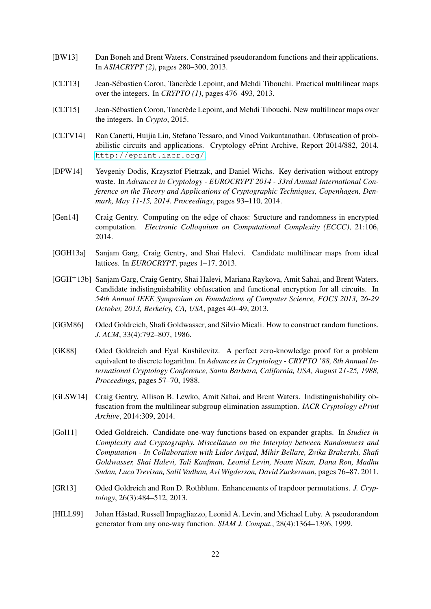- <span id="page-22-13"></span>[BW13] Dan Boneh and Brent Waters. Constrained pseudorandom functions and their applications. In *ASIACRYPT (2)*, pages 280–300, 2013.
- <span id="page-22-6"></span>[CLT13] Jean-Sébastien Coron, Tancrède Lepoint, and Mehdi Tibouchi. Practical multilinear maps over the integers. In *CRYPTO (1)*, pages 476–493, 2013.
- <span id="page-22-7"></span>[CLT15] Jean-Sébastien Coron, Tancrède Lepoint, and Mehdi Tibouchi. New multilinear maps over the integers. In *Crypto*, 2015.
- <span id="page-22-3"></span>[CLTV14] Ran Canetti, Huijia Lin, Stefano Tessaro, and Vinod Vaikuntanathan. Obfuscation of probabilistic circuits and applications. Cryptology ePrint Archive, Report 2014/882, 2014. <http://eprint.iacr.org/>.
- <span id="page-22-11"></span>[DPW14] Yevgeniy Dodis, Krzysztof Pietrzak, and Daniel Wichs. Key derivation without entropy waste. In *Advances in Cryptology - EUROCRYPT 2014 - 33rd Annual International Conference on the Theory and Applications of Cryptographic Techniques, Copenhagen, Denmark, May 11-15, 2014. Proceedings*, pages 93–110, 2014.
- <span id="page-22-8"></span>[Gen14] Craig Gentry. Computing on the edge of chaos: Structure and randomness in encrypted computation. *Electronic Colloquium on Computational Complexity (ECCC)*, 21:106, 2014.
- <span id="page-22-5"></span>[GGH13a] Sanjam Garg, Craig Gentry, and Shai Halevi. Candidate multilinear maps from ideal lattices. In *EUROCRYPT*, pages 1–17, 2013.
- <span id="page-22-2"></span>[GGH+13b] Sanjam Garg, Craig Gentry, Shai Halevi, Mariana Raykova, Amit Sahai, and Brent Waters. Candidate indistinguishability obfuscation and functional encryption for all circuits. In *54th Annual IEEE Symposium on Foundations of Computer Science, FOCS 2013, 26-29 October, 2013, Berkeley, CA, USA*, pages 40–49, 2013.
- <span id="page-22-12"></span>[GGM86] Oded Goldreich, Shafi Goldwasser, and Silvio Micali. How to construct random functions. *J. ACM*, 33(4):792–807, 1986.
- <span id="page-22-0"></span>[GK88] Oded Goldreich and Eyal Kushilevitz. A perfect zero-knowledge proof for a problem equivalent to discrete logarithm. In *Advances in Cryptology - CRYPTO '88, 8th Annual International Cryptology Conference, Santa Barbara, California, USA, August 21-25, 1988, Proceedings*, pages 57–70, 1988.
- <span id="page-22-4"></span>[GLSW14] Craig Gentry, Allison B. Lewko, Amit Sahai, and Brent Waters. Indistinguishability obfuscation from the multilinear subgroup elimination assumption. *IACR Cryptology ePrint Archive*, 2014:309, 2014.
- <span id="page-22-1"></span>[Gol11] Oded Goldreich. Candidate one-way functions based on expander graphs. In *Studies in Complexity and Cryptography. Miscellanea on the Interplay between Randomness and Computation - In Collaboration with Lidor Avigad, Mihir Bellare, Zvika Brakerski, Shafi Goldwasser, Shai Halevi, Tali Kaufman, Leonid Levin, Noam Nisan, Dana Ron, Madhu Sudan, Luca Trevisan, Salil Vadhan, Avi Wigderson, David Zuckerman*, pages 76–87. 2011.
- <span id="page-22-9"></span>[GR13] Oded Goldreich and Ron D. Rothblum. Enhancements of trapdoor permutations. *J. Cryptology*, 26(3):484–512, 2013.
- <span id="page-22-10"></span>[HILL99] Johan Håstad, Russell Impagliazzo, Leonid A. Levin, and Michael Luby. A pseudorandom generator from any one-way function. *SIAM J. Comput.*, 28(4):1364–1396, 1999.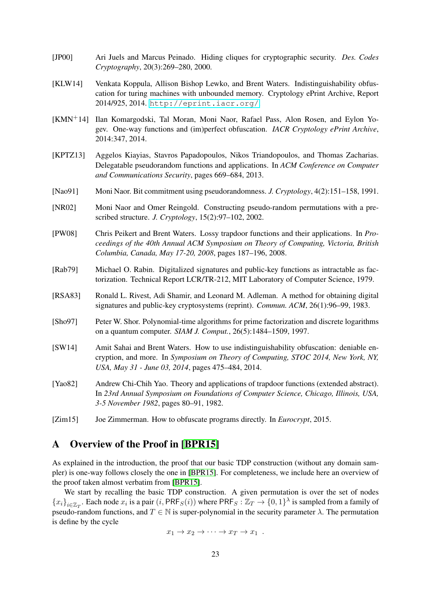- <span id="page-23-1"></span>[JP00] Ari Juels and Marcus Peinado. Hiding cliques for cryptographic security. *Des. Codes Cryptography*, 20(3):269–280, 2000.
- <span id="page-23-9"></span>[KLW14] Venkata Koppula, Allison Bishop Lewko, and Brent Waters. Indistinguishability obfuscation for turing machines with unbounded memory. Cryptology ePrint Archive, Report 2014/925, 2014. <http://eprint.iacr.org/>.
- <span id="page-23-8"></span>[KMN+14] Ilan Komargodski, Tal Moran, Moni Naor, Rafael Pass, Alon Rosen, and Eylon Yogev. One-way functions and (im)perfect obfuscation. *IACR Cryptology ePrint Archive*, 2014:347, 2014.
- <span id="page-23-13"></span>[KPTZ13] Aggelos Kiayias, Stavros Papadopoulos, Nikos Triandopoulos, and Thomas Zacharias. Delegatable pseudorandom functions and applications. In *ACM Conference on Computer and Communications Security*, pages 669–684, 2013.
- <span id="page-23-11"></span>[Nao91] Moni Naor. Bit commitment using pseudorandomness. *J. Cryptology*, 4(2):151–158, 1991.
- <span id="page-23-7"></span>[NR02] Moni Naor and Omer Reingold. Constructing pseudo-random permutations with a prescribed structure. *J. Cryptology*, 15(2):97–102, 2002.

<span id="page-23-2"></span>[PW08] Chris Peikert and Brent Waters. Lossy trapdoor functions and their applications. In *Proceedings of the 40th Annual ACM Symposium on Theory of Computing, Victoria, British Columbia, Canada, May 17-20, 2008*, pages 187–196, 2008.

- <span id="page-23-4"></span>[Rab79] Michael O. Rabin. Digitalized signatures and public-key functions as intractable as factorization. Technical Report LCR/TR-212, MIT Laboratory of Computer Science, 1979.
- <span id="page-23-3"></span>[RSA83] Ronald L. Rivest, Adi Shamir, and Leonard M. Adleman. A method for obtaining digital signatures and public-key cryptosystems (reprint). *Commun. ACM*, 26(1):96–99, 1983.
- <span id="page-23-0"></span>[Sho97] Peter W. Shor. Polynomial-time algorithms for prime factorization and discrete logarithms on a quantum computer. *SIAM J. Comput.*, 26(5):1484–1509, 1997.
- <span id="page-23-5"></span>[SW14] Amit Sahai and Brent Waters. How to use indistinguishability obfuscation: deniable encryption, and more. In *Symposium on Theory of Computing, STOC 2014, New York, NY, USA, May 31 - June 03, 2014*, pages 475–484, 2014.
- <span id="page-23-12"></span>[Yao82] Andrew Chi-Chih Yao. Theory and applications of trapdoor functions (extended abstract). In *23rd Annual Symposium on Foundations of Computer Science, Chicago, Illinois, USA, 3-5 November 1982*, pages 80–91, 1982.
- <span id="page-23-6"></span>[Zim15] Joe Zimmerman. How to obfuscate programs directly. In *Eurocrypt*, 2015.

# <span id="page-23-10"></span>A Overview of the Proof in [\[BPR15\]](#page-21-9)

As explained in the introduction, the proof that our basic TDP construction (without any domain sampler) is one-way follows closely the one in [\[BPR15\]](#page-21-9). For completeness, we include here an overview of the proof taken almost verbatim from [\[BPR15\]](#page-21-9).

We start by recalling the basic TDP construction. A given permutation is over the set of nodes  ${x_i}_{i \in \mathbb{Z}_T}$ . Each node  $x_i$  is a pair  $(i, \text{PRF}_S(i))$  where  $\text{PRF}_S : \mathbb{Z}_T \to \{0,1\}^{\lambda}$  is sampled from a family of pseudo-random functions, and  $T \in \mathbb{N}$  is super-polynomial in the security parameter  $\lambda$ . The permutation is define by the cycle

$$
x_1 \to x_2 \to \cdots \to x_T \to x_1 .
$$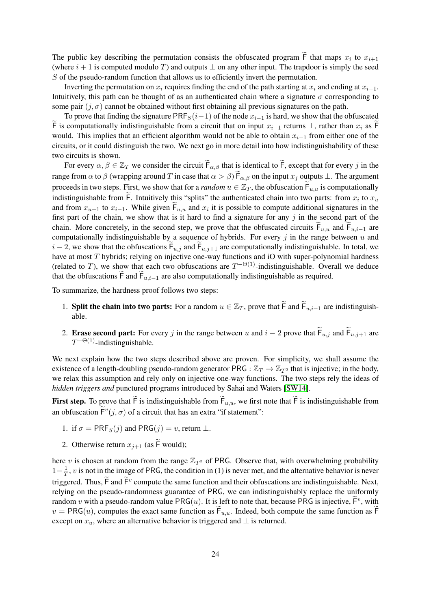The public key describing the permutation consists the obfuscated program F that maps  $x_i$  to  $x_{i+1}$ (where  $i + 1$  is computed modulo T) and outputs  $\perp$  on any other input. The trapdoor is simply the seed S of the pseudo-random function that allows us to efficiently invert the permutation.

Inverting the permutation on  $x_i$  requires finding the end of the path starting at  $x_i$  and ending at  $x_{i-1}$ . Intuitively, this path can be thought of as an authenticated chain where a signature  $\sigma$  corresponding to some pair  $(j, \sigma)$  cannot be obtained without first obtaining all previous signatures on the path.

To prove that finding the signature PRF $S(i-1)$  of the node  $x_{i-1}$  is hard, we show that the obfuscated F is computationally indistinguishable from a circuit that on input  $x_{i-1}$  returns ⊥, rather than  $x_i$  as F would. This implies that an efficient algorithm would not be able to obtain  $x_{i-1}$  from either one of the circuits, or it could distinguish the two. We next go in more detail into how indistinguishability of these two circuits is shown.

For every  $\alpha, \beta \in \mathbb{Z}_T$  we consider the circuit  $\widetilde{\mathsf{F}}_{\alpha,\beta}$  that is identical to  $\widetilde{\mathsf{F}}$ , except that for every j in the range from  $\alpha$  to  $\beta$  (wrapping around T in case that  $\alpha > \beta$ )  $\mathsf{F}_{\alpha,\beta}$  on the input  $x_j$  outputs  $\bot$ . The argument proceeds in two steps. First, we show that for a *random*  $u \in \mathbb{Z}_T$ , the obfuscation  $\mathsf{F}_{u,u}$  is computationally indistinguishable from F. Intuitively this "splits" the authenticated chain into two parts: from  $x_i$  to  $x_u$ and from  $x_{u+1}$  to  $x_{i-1}$ . While given  $F_{u,u}$  and  $x_i$  it is possible to compute additional signatures in the first part of the chain, we show that is it hard to find a signature for any  $j$  in the second part of the chain. More concretely, in the second step, we prove that the obfuscated circuits  $F_{u,u}$  and  $F_{u,i-1}$  are computationally indistinguishable by a sequence of hybrids. For every  $j$  in the range between  $u$  and  $i-2$ , we show that the obfuscations  $\overline{F}_{u,j}$  and  $\overline{F}_{u,j+1}$  are computationally indistinguishable. In total, we have at most T hybrids; relying on injective one-way functions and iO with super-polynomial hardness (related to T), we show that each two obfuscations are  $T^{-\Theta(1)}$ -indistinguishable. Overall we deduce that the obfuscations  $\widetilde{F}$  and  $\widetilde{F}_{u,i-1}$  are also computationally indistinguishable as required.

To summarize, the hardness proof follows two steps:

- 1. Split the chain into two parts: For a random  $u \in \mathbb{Z}_T$ , prove that  $\widetilde{F}$  and  $\widetilde{F}_{u,i-1}$  are indistinguishable.
- 2. Erase second part: For every j in the range between u and  $i-2$  prove that  $\widetilde{F}_{u,j}$  and  $\widetilde{F}_{u,j+1}$  are  $T^{-\Theta(1)}$ -indistinguishable.

We next explain how the two steps described above are proven. For simplicity, we shall assume the existence of a length-doubling pseudo-random generator PRG :  $\mathbb{Z}_T \to \mathbb{Z}_{T^2}$  that is injective; in the body, we relax this assumption and rely only on injective one-way functions. The two steps rely the ideas of *hidden triggers and* punctured programs introduced by Sahai and Waters [\[SW14\]](#page-23-5).

**First step.** To prove that  $\widetilde{F}$  is indistinguishable from  $\widetilde{F}_{u,u}$ , we first note that  $\widetilde{F}$  is indistinguishable from an obfuscation  $\tilde{F}^v(j,\sigma)$  of a circuit that has an extra "if statement":

- 1. if  $\sigma = PRF_S(j)$  and PRG $(j) = v$ , return  $\perp$ .
- 2. Otherwise return  $x_{i+1}$  (as  $\tilde{F}$  would);

here v is chosen at random from the range  $\mathbb{Z}_{T^2}$  of PRG. Observe that, with overwhelming probability  $1-\frac{1}{7}$  $\frac{1}{T}$ , v is not in the image of PRG, the condition in (1) is never met, and the alternative behavior is never triggered. Thus,  $\tilde{F}$  and  $\tilde{F}^v$  compute the same function and their obfuscations are indistinguishable. Next, relying on the pseudo-randomness guarantee of PRG, we can indistinguishably replace the uniformly random v with a pseudo-random value PRG(u). It is left to note that, because PRG is injective,  $\tilde{F}^v$ , with  $v = PRG(u)$ , computes the exact same function as  $\tilde{F}_{u,u}$ . Indeed, both compute the same function as  $\tilde{F}_{u,u}$ except on  $x_u$ , where an alternative behavior is triggered and  $\perp$  is returned.